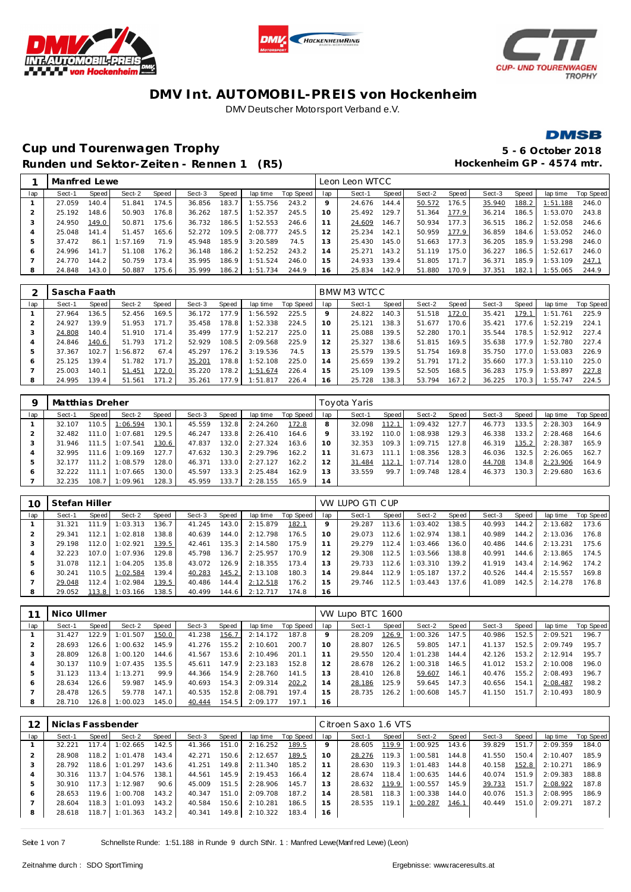





### **DMSB**

### **Cup und Tourenwagen Trophy 5 - 6 October 2018** Runden und Sektor-Zeiten - Rennen 1 (R5) **Hockenheim GP** - 4574 mtr.

|              | Manfred Lewe |       |          |       |        |       |          |           |     | Leon Leon WTCC |       |        |                       |        |       |          |           |
|--------------|--------------|-------|----------|-------|--------|-------|----------|-----------|-----|----------------|-------|--------|-----------------------|--------|-------|----------|-----------|
| lap          | Sect-1       | Speed | Sect-2   | Speed | Sect-3 | Speed | lap time | Top Speed | lap | Sect-1         | Speed | Sect-2 | Speed                 | Sect-3 | Speed | lap time | Top Speed |
|              | 27.059       | 140.4 | 51.841   | 174.5 | 36.856 | 183.7 | 1:55.756 | 243.2     | O   | 24.676         | 144.4 | 50.572 | 76.5                  | 35.940 | 188.2 | 1:51.188 | 246.0     |
|              | 25.192       | 148.6 | 50.903   | 176.8 | 36.262 | 187.5 | 1:52.357 | 245.5     | 10  | 25.492         | 129.7 | 51.364 | 177.9                 | 36.214 | 186.5 | 1:53.070 | 243.8     |
| -3           | 24.950       | 149.0 | 50.871   | 175.6 | 36.732 | 186.5 | 1:52.553 | 246.6     |     | 24.609         | 146.7 | 50.934 | 177.3                 | 36.515 | 186.2 | 1:52.058 | 246.6     |
|              | 25.048       | 141.4 | 51.457   | 165.6 | 52.272 | 109.5 | 2:08.777 | 245.5     | 12  | 25.234         | 142.1 | 50.959 | 177.9                 | 36.859 | 184.6 | 1:53.052 | 246.0     |
| 5            | 37.472       | 86.1  | 1:57.169 | 71.9  | 45.948 | 185.9 | 3:20.589 | 74.5      | 13  | 25.430         | 145.0 | 51.663 | 177.3                 | 36.205 | 185.9 | 1:53.298 | 246.0     |
| <sub>6</sub> | 24.996       | 141.7 | 51.108   | 176.2 | 36.148 | 186.2 | 1:52.252 | 243.2     | 14  | 25.271         | 143.2 | 51.119 | 175.0                 | 36.227 | 186.5 | 1:52.617 | 246.0     |
|              | 24.770       | 144.2 | 50.759   | 173.4 | 35.995 | 186.9 | 1:51.524 | 246.0     | 15  | 24.933         | 139.4 | 51.805 | 171<br>$\overline{7}$ | 36.371 | 185.9 | 1:53.109 | 247.7     |
| 8            | 24.848       | 143.0 | 50.887   | 175.6 | 35.999 | 186.2 | 1:51.734 | 244.9     | 16  | 25.834         | 142.9 | 51.880 | 70.9                  | 37.351 | 182.1 | : 55.065 | 244.9     |
|              |              |       |          |       |        |       |          |           |     |                |       |        |                       |        |       |          |           |

|     | Sascha Faath |       |         |       |        |       |          |           |     | BMW M3 WTCC |       |        |       |        |       |          |           |
|-----|--------------|-------|---------|-------|--------|-------|----------|-----------|-----|-------------|-------|--------|-------|--------|-------|----------|-----------|
| lap | Sect-1       | Speed | Sect-2  | Speed | Sect-3 | Speed | lap time | Top Speed | lap | Sect-1      | Speed | Sect-2 | Speed | Sect-3 | Speed | lap time | Top Speed |
|     | 27.964       | 136.5 | 52.456  | 169.5 | 36.172 | 177.9 | : 56.592 | 225.5     |     | 24.822      | 140.3 | 51.518 | 172.0 | 35.421 | 179.1 | :51.761  | 225.9     |
|     | 24.927       | 139.9 | 51.953  | 171.7 | 35.458 | 78.8  | 1:52.338 | 224.5     | 10  | 25.121      | 138.3 | 51.677 | 70.6  | 35.421 | 177.6 | :52.219  | 224.1     |
|     | 24.808       | 140.4 | 51.910  | 171.4 | 35.499 | 177.9 | 1:52.217 | 225.0     |     | 25.088      | 139.5 | 52.280 | 170.1 | 35.544 | 78.5  | 1:52.912 | 227.4     |
|     | 24.846       | 140.6 | 51.793  | 171.2 | 52.929 | 108.5 | 2:09.568 | 225.9     | 12  | 25.327      | 138.6 | 51.815 | 169.5 | 35.638 | 177.9 | :52.780  | 227.4     |
|     | 37.367       | 102.7 | :56.872 | 67.4  | 45.297 | 176.2 | 3:19.536 | 74.5      | 13  | 25.579      | 139.5 | 51.754 | 169.8 | 35.750 | 177.0 | : 53.083 | 226.9     |
| O   | 25.125       | 139.4 | 51.782  | 171.7 | 35.201 | 78.8  | 1:52.108 | 225.0     | 14  | 25.659      | 139.2 | 51.791 | 171.2 | 35.660 | 177.3 | :53.110  | 225.0     |
|     | 25.003       | 140.  | 51.451  | 172.0 | 35.220 | 78.2  | 1:51.674 | 226.4     | 15  | 25.109      | 39.5  | 52.505 | 168.5 | 36.283 | 175.9 | :53.897  | 227.8     |
| 8   | 24.995       | 139.4 | 51.561  | 171.2 | 35.261 | 177.9 | 1:51.817 | 226.4     | 16  | 25.728      | 138.3 | 53.794 | 167.2 | 36.225 | 170.3 | :55.747  | 224.5     |

|     | Matthias Dreher |                        |          |       |        |       |          |           |     | Toyota Yaris |       |          |       |        |       |          |           |
|-----|-----------------|------------------------|----------|-------|--------|-------|----------|-----------|-----|--------------|-------|----------|-------|--------|-------|----------|-----------|
| lap | Sect-1          | Speed                  | Sect-2   | Speed | Sect-3 | Speed | lap time | Top Speed | lap | Sect-1       | Speed | Sect-2   | Speed | Sect-3 | Speed | lap time | Top Speed |
|     | 32.107          | 110.5                  | 1:06.594 | 130.1 | 45.559 | 132.8 | 2:24.260 | 172.8     | 8   | 32.098       | 112.1 | 1:09.432 | 127.7 | 46.773 | 133.5 | 2:28.303 | 164.9     |
|     | 32.482          | $111.0$ $\blacksquare$ | 1:07.681 | 129.5 | 46.247 | 133.8 | 2:26.410 | 164.6     |     | 33.192       | 110.0 | 1:08.938 | 129.3 | 46.338 | 133.2 | 2:28.468 | 164.6     |
|     | 31.946          | 111.5                  | 1:07.541 | 130.6 | 47.837 | 132.0 | 2:27.324 | 163.6     | 10  | 32.353       | 109.3 | 1:09.715 | 127.8 | 46.319 | 135.2 | 2:28.387 | 165.9     |
|     | 32.995          | 111.6                  | 1:09.169 | 127.7 | 47.632 | 130.3 | 2:29.796 | 162.2     |     | 31.673       | 111.1 | 1:08.356 | 128.3 | 46.036 | 132.5 | 2:26.065 | 162.7     |
|     | 32.177          | 111.2                  | :08.579  | 128.0 | 46.371 | 133.0 | 2:27.127 | 162.2     |     | 31.484       | 112.1 | 1:07.714 | 128.0 | 44.708 | 134.8 | 2:23.906 | 164.9     |
| O   | 32.222          | 111.1                  | :07.665  | 130.0 | 45.597 | 133.3 | 2:25.484 | 162.9     | 3   | 33.559       | 99.7  | 1:09.748 | 128.4 | 46.373 | 130.3 | 2:29.680 | 163.6     |
|     | 32.235          | 108.7                  | 1:09.961 | 128.3 | 45.959 | 133.7 | 2:28.155 | 165.9     | 14  |              |       |          |       |        |       |          |           |

| 10  | Stefan Hiller |       |          |       |        |       |          |           |         | VW LUPO GTI CUP |       |          |       |        |       |          |           |
|-----|---------------|-------|----------|-------|--------|-------|----------|-----------|---------|-----------------|-------|----------|-------|--------|-------|----------|-----------|
| lap | Sect-1        | Speed | Sect-2   | Speed | Sect-3 | Speed | lap time | Top Speed | lap     | Sect-1          | Speed | Sect-2   | Speed | Sect-3 | Speed | lap time | Top Speed |
|     | 31.321        | 111.9 | 1:03.313 | 136.7 | 41.245 | 143.0 | 2:15.879 | 182.1     | $\circ$ | 29.287          | 113.6 | 1:03.402 | 138.5 | 40.993 | 144.2 | 2:13.682 | 173.6     |
|     | 29.341        | 112.1 | 1:02.818 | 138.8 | 40.639 | 144.0 | 2:12.798 | 176.5     | 10      | 29.073          | 112.6 | 1:02.974 | 138.1 | 40.989 | 144.2 | 2:13.036 | 176.8     |
|     | 29.198        | 112.0 | 1:02.921 | 139.5 | 42.461 | 135.3 | 2:14.580 | 175.9     |         | 29.279          | 112.4 | 1:03.466 | 136.0 | 40.486 | 144.6 | 2:13.231 | 175.6     |
|     | 32.223        | 107.0 | 1:07.936 | 129.8 | 45.798 | 136.7 | 2:25.957 | 170.9     | 12      | 29.308          | 112.5 | 1:03.566 | 138.8 | 40.991 | 144.6 | 2:13.865 | 174.5     |
|     | 31.078        | 112.1 | 1:04.205 | 135.8 | 43.072 | 126.9 | 2:18.355 | 173.4     | 13      | 29.733          | 112.6 | 1:03.310 | 139.2 | 41.919 | 143.4 | 2:14.962 | 174.2     |
| 6   | 30.241        | 110.5 | 1:02.584 | 139.4 | 40.283 | 145.2 | 2:13.108 | 180.3     | 14      | 29.844          | 112.9 | 1:05.187 | 137.2 | 40.526 | 144.4 | 2:15.557 | 169.8     |
|     | 29.048        | 112.4 | 1:02.984 | 139.5 | 40.486 | 144.4 | 2:12.518 | 176.2     | 15      | 29.746          | 112.5 | 1:03.443 | 137.6 | 41.089 | 142.5 | 2:14.278 | 176.8     |
| 8   | 29.052        | 113.8 | 1:03.166 | 138.5 | 40.499 | 144.6 | 2:12.717 | 174.8     | 16      |                 |       |          |       |        |       |          |           |

|     | Nico Ullmer |         |                  |       |        |       |          |           |                | VW Lupo BTC 1600 |         |          |         |        |       |          |           |
|-----|-------------|---------|------------------|-------|--------|-------|----------|-----------|----------------|------------------|---------|----------|---------|--------|-------|----------|-----------|
| lap | Sect-1      | Speed I | Sect-2           | Speed | Sect-3 | Speed | lap time | Top Speed | lap            | Sect-1           | Speed I | Sect-2   | Speed I | Sect-3 | Speed | lap time | Top Speed |
|     | 31.427      | 122.9   | 1:01.507         | 150.0 | 41.238 | 156.7 | 2:14.172 | 187.8     | 9              | 28.209           | 126.9   | 1:00.326 | 147.5   | 40.986 | 152.5 | 2:09.521 | 196.7     |
|     | 28.693      |         | $126.6$ 1:00.632 | 145.9 | 41.276 | 155.2 | 2:10.601 | 200.7     | 10             | 28.807           | 126.5   | 59.805   | 147.1   | 41.137 | 152.5 | 2:09.749 | 195.7     |
|     | 28.809      | 126.8   | 1:00.120         | 144.6 | 41.567 | 153.6 | 2:10.496 | 201.1     |                | 29.550           | 120.4   | 1:01.238 | 144.4   | 42.126 | 153.2 | 2:12.914 | 195.7     |
|     | 30.137      |         | $110.9$ 1:07.435 | 135.5 | 45.611 | 147.9 | 2:23.183 | 152.8     |                | 28.678           | 126.2   | 1:00.318 | 146.5   | 41.012 | 153.2 | 2:10.008 | 196.0     |
|     | 31.123      | 113.4   | 1:13.271         | 99.9  | 44.366 | 154.9 | 2:28.760 | 141.5     | 13             | 28.410           | 126.8   | 59.607   | 146.1   | 40.476 | 155.2 | 2:08.493 | 196.7     |
| 6   | 28.634      | 126.6   | 59.987           | 145.9 | 40.693 | 154.3 | 2:09.314 | 202.2     | $\overline{4}$ | 28.186           | 125.9   | 59.645   | 147.3   | 40.656 | 154.1 | 2:08.487 | 198.2     |
|     | 28.478      | 126.5   | 59.778           | 147.1 | 40.535 | 152.8 | 2:08.791 | 197.4     | 15             | 28.735           | 126.2   | 1:00.608 | 145.7   | 41.150 | 151.7 | 2:10.493 | 180.9     |
| 8   | 28.710      |         | 126.8 1:00.023   | 145.0 | 40.444 | 154.5 | 2:09.177 | 197.1     | 16             |                  |         |          |         |        |       |          |           |

|     | Niclas Fassbender |         |          |       |        |       |          |           |     | Citroen Saxo 1.6 VTS |       |          |       |        |         |          |           |
|-----|-------------------|---------|----------|-------|--------|-------|----------|-----------|-----|----------------------|-------|----------|-------|--------|---------|----------|-----------|
| lap | Sect-1            | Speed I | Sect-2   | Speed | Sect-3 | Speed | lap time | Top Speed | lap | Sect-1               | Speed | Sect-2   | Speed | Sect-3 | Speed ' | lap time | Top Speed |
|     | 32.221            | 117.4   | 1:02.665 | 142.5 | 41.366 | 151.0 | 2:16.252 | 189.5     |     | 28.605               | 119.9 | 1:00.925 | 143.6 | 39.829 | 151.7   | 2:09.359 | 184.0     |
|     | 28.908            | 118.2   | 1:01.478 | 143.4 | 42.271 | 150.6 | 2:12.657 | 189.5     | 10  | 28.276               | 119.3 | 1:00.581 | 144.8 | 41.550 | 150.4   | 2:10.407 | 185.9     |
| 3   | 28.792            | 118.6   | 1:01.297 | 143.6 | 41.251 | 149.8 | 2:11.340 | 185.2     |     | 28.630               | 119.3 | 1:01.483 | 144.8 | 40.158 | 152.8   | 2:10.271 | 186.9     |
| 4   | 30.316            | 113.7   | 1:04.576 | 138.1 | 44.561 | 145.9 | 2:19.453 | 166.4     |     | 28.674               | 118.4 | 1:00.635 | 144.6 | 40.074 | 151.9   | 2:09.383 | 188.8     |
| 5   | 30.910            | 117.3   | 1:12.987 | 90.6  | 45.009 | 151.5 | 2:28.906 | 145.7     | 3   | 28.632               | 119.9 | 1:00.557 | 145.9 | 39.733 | 151.7   | 2:08.922 | 187.8     |
| 6   | 28.653            | 119.6   | 1:00.708 | 143.2 | 40.347 | 151.0 | 2:09.708 | 187.2     | 14  | 28.581               | 118.3 | 1:00.338 | 144.0 | 40.076 | 151.3   | 2:08.995 | 186.9     |
|     | 28.604            | 118.3   | 1:01.093 | 143.2 | 40.584 | 150.6 | 2:10.281 | 186.5     | 15  | 28.535               | 119.1 | 1:00.287 | 146.1 | 40.449 | 151.0   | 2:09.271 | 187.2     |
| 8   | 28.618            | 118.7   | 1:01.363 | 143.2 | 40.341 | 149.8 | 2:10.322 | 183.4     | 16  |                      |       |          |       |        |         |          |           |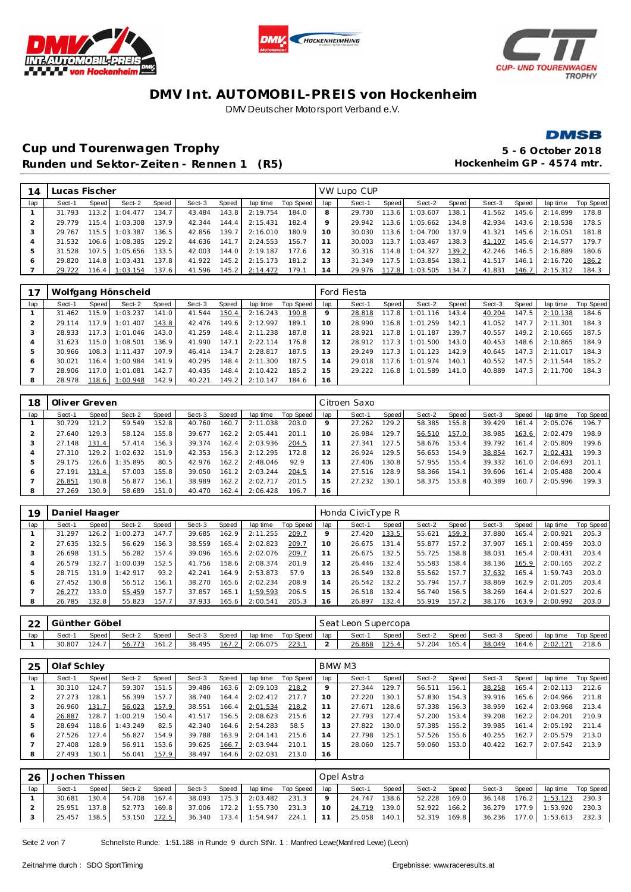





**DMSB** 

### **Cup und Tourenwagen Trophy 5 - 6 October 2018** Runden und Sektor-Zeiten - Rennen 1 (R5) **Hockenheim GP** - 4574 mtr.

| 14      | Lucas Fischer |       |                |        |        |       |          |           |                | VW Lupo CUP |       |          |       |        |       |          |           |
|---------|---------------|-------|----------------|--------|--------|-------|----------|-----------|----------------|-------------|-------|----------|-------|--------|-------|----------|-----------|
| lap     | Sect-1        | Speed | Sect-2         | Speed  | Sect-3 | Speed | lap time | Top Speed | lap            | Sect-1      | Speed | Sect-2   | Speed | Sect-3 | Speed | lap time | Top Speed |
|         | 31.793        | 113.2 | 1:04.477       | 134.7  | 43.484 | 143.8 | 2:19.754 | 184.0     |                | 29.730      | 113.6 | 1:03.607 | 138.1 | 41.562 | 145.6 | 2:14.899 | 178.8     |
|         | 29.779        | 115.4 | 1:03.308       | 137.9  | 42.344 | 144.4 | 2:15.431 | 182.4     |                | 29.942      | 113.6 | 1:05.662 | 134.8 | 42.934 | 143.6 | 2:18.538 | 178.5     |
| $\cdot$ | 29.767        | 115.5 | 1:03.387       | 136.5  | 42.856 | 139.7 | 2:16.010 | 180.9     | 10             | 30.030      | 113.6 | 1:04.700 | 137.9 | 41.321 | 145.6 | 2:16.051 | 181.8     |
|         | 31.532        | 106.6 | 1:08.385       | 129.2  | 44.636 | 141.7 | 2:24.553 | 156.7     |                | 30.003      | 113.7 | 1:03.467 | 138.3 | 41.107 | 145.6 | 2:14.577 | 179.7     |
| 5       | 31.528        | 107.5 | 1:05.656       | 133.5  | 42.003 | 144.0 | 2:19.187 | 177.6     |                | 30.316      | 114.8 | 1:04.327 | 139.2 | 42.246 | 146.5 | 2:16.889 | 180.6     |
| $\circ$ | 29.820        | 114.8 | 1:03.431       | 137.81 | 41.922 | 145.2 | 2:15.173 | 181.2     | 13             | 31.349      | 117.5 | 1:03.854 | 138.1 | 41.517 | 146.1 | 2:16.720 | 186.2     |
|         | 29.722        |       | 116.4 1:03.154 | 137.6  | 41.596 | 145.2 | 2:14.472 | 179.1     | $\overline{4}$ | 29.976      | 117.8 | 1:03.505 | 134.7 | 41.831 | 146.7 | 2:15.312 | 184.3     |
|         |               |       |                |        |        |       |          |           |                |             |       |          |       |        |       |          |           |

|     |        |         | Wolfgang Hönscheid |       |        |       |          |           |                | Ford Fiesta |       |          |               |        |       |          |           |
|-----|--------|---------|--------------------|-------|--------|-------|----------|-----------|----------------|-------------|-------|----------|---------------|--------|-------|----------|-----------|
| lap | Sect-1 | Speed   | Sect-2             | Speed | Sect-3 | Speed | lap time | Top Speed | lap            | Sect-1      | Speed | Sect-2   | Speed         | Sect-3 | Speed | lap time | Top Speed |
|     | 31.462 | 115.9   | 1:03.237           | 141.0 | 41.544 | 150.4 | 2:16.243 | 190.8     |                | 28.818      | 117.8 | 1:01.116 | 143.4         | 40.204 | 147.5 | 2:10.138 | 184.6     |
|     | 29.114 | 117.9 I | 1:01.407           | 143.8 | 42.476 | 149.6 | 2:12.997 | 189.1     | 10             | 28.990      | 116.8 | 1:01.259 | 142.1         | 41.052 | 147.7 | 2:11.301 | 184.3     |
|     | 28.933 | 117.3   | 1:01.046           | 143.0 | 41.259 | 148.4 | 2:11.238 | 187.8     |                | 28.921      | 117.8 | 1:01.187 | $139.7 \cdot$ | 40.557 | 149.2 | 2:10.665 | 187.5     |
|     | 31.623 | 115.0   | 1:08.501           | 136.9 | 41.990 | 147.1 | 2:22.114 | 176.8     |                | 28.912      | 117.3 | 1:01.500 | 143.0         | 40.453 | 148.6 | 2:10.865 | 184.9     |
|     | 30.966 | 108.3   | 1:11.437           | 107.9 | 46.414 | 134.7 | 2:28.817 | 187.5     | 3              | 29.249      | 117.3 | 1:01.123 | 142.9         | 40.645 | 147.3 | 2:11.017 | 184.3     |
| 6   | 30.021 | 116.4   | 1:00.984           | 141.9 | 40.295 | 148.4 | 2:11.300 | 187.5     | $\overline{4}$ | 29.018      | 117.6 | 1:01.974 | 140.1         | 40.552 | 147.5 | 2:11.544 | 185.2     |
|     | 28.906 | 117.O I | 1:01.081           | 142.7 | 40.435 | 148.4 | 2:10.422 | 185.2     | 5              | 29.222      | 116.8 | 1:01.589 | 141.0         | 40.889 | 147.3 | 2:11.700 | 184.3     |
| 8   | 28.978 | 118.6   | 1:00.948           | 142.9 | 40.221 | 149.2 | 2:10.147 | 184.6     | 16             |             |       |          |               |        |       |          |           |

| 18  | Oliver Greven |       |          |       |        |       |          |           |                 | Citroen Saxo |       |        |       |        |       |          |           |
|-----|---------------|-------|----------|-------|--------|-------|----------|-----------|-----------------|--------------|-------|--------|-------|--------|-------|----------|-----------|
| lap | Sect-1        | Speed | Sect-2   | Speed | Sect-3 | Speed | lap time | Top Speed | lap             | Sect-1       | Speed | Sect-2 | Speed | Sect-3 | Speed | lap time | Top Speed |
|     | 30.729        | 121.2 | 59.549   | 152.8 | 40.760 | 160.7 | 2:11.038 | 203.0     |                 | 27.262       | 129.2 | 58.385 | 155.8 | 39.429 | 161.4 | 2:05.076 | 196.7     |
|     | 27.640        | 129.3 | 58.124   | 155.8 | 39.677 | 162.2 | 2:05.441 | 201.1     | 10 <sup>°</sup> | 26.984       | 129.7 | 56.510 | 157.0 | 38.985 | 163.6 | 2:02.479 | 198.9     |
| 3   | 27.148        | 131.4 | 57.414   | 156.3 | 39.374 | 162.4 | 2:03.936 | 204.5     |                 | 27.341       | 127.5 | 58.676 | 153.4 | 39.792 | 161.4 | 2:05.809 | 199.6     |
|     | 27.310        | 129.2 | :02.632  | 151.9 | 42.353 | 156.3 | 2:12.295 | 172.8     |                 | 26.924       | 129.5 | 56.653 | 154.9 | 38.854 | 162.7 | 2:02.431 | 199.3     |
| ь   | 29.175        | 126.6 | 1:35.895 | 80.5  | 42.976 | 162.2 | 2:48.046 | 92.9      | 3               | 27.406       | 130.8 | 57.955 | 155.4 | 39.332 | 161.0 | 2:04.693 | 201.1     |
| 6   | 27.191        | 131.4 | 57.003   | 155.8 | 39.050 | 161.2 | 2:03.244 | 204.5     | $\overline{a}$  | 27.516       | 128.9 | 58.366 | 154.1 | 39.606 | 161.4 | 2:05.488 | 200.4     |
|     | 26.851        | 130.8 | 56.877   | 156.1 | 38.989 | 162.2 | 2:02.717 | 201.5     | 5               | 27.232       | 130.1 | 58.375 | 153.8 | 40.389 | 160.7 | 2:05.996 | 199.3     |
| 8   | 27.269        | 130.9 | 58.689   | 151.0 | 40.470 | 162.4 | 2:06.428 | 196.7     | 16              |              |       |        |       |        |       |          |           |

| 19  | Daniel Haager |       |          |       |        |       |          |           |                | Honda CivicType R |       |        |       |        |       |          |           |
|-----|---------------|-------|----------|-------|--------|-------|----------|-----------|----------------|-------------------|-------|--------|-------|--------|-------|----------|-----------|
| lap | Sect-1        | Speed | Sect-2   | Speed | Sect-3 | Speed | lap time | Top Speed | lap            | Sect-1            | Speed | Sect-2 | Speed | Sect-3 | Speed | lap time | Top Speed |
|     | 31.297        | 126.2 | 1:00.273 | 147.7 | 39.685 | 162.9 | 2:11.255 | 209.7     |                | 27.420            | 133.5 | 55.621 | 159.3 | 37.880 | 165.4 | 2:00.921 | 205.3     |
|     | 27.635        | 132.5 | 56.629   | 156.3 | 38.559 | 165.4 | 2:02.823 | 209.7     |                | 26.675            | 131.4 | 55.877 | 157.2 | 37.907 | 165.1 | 2:00.459 | 203.0     |
|     | 26.698        | 131.5 | 56.282   | 157.4 | 39.096 | 165.6 | 2:02.076 | 209.7     |                | 26.675            | 132.5 | 55.725 | 158.8 | 38.031 | 165.4 | 2:00.431 | 203.4     |
|     | 26.579        | 132.7 | 1:00.039 | 152.5 | 41.756 | 158.6 | 2:08.374 | 201.9     |                | 26.446            | 132.4 | 55.583 | 158.4 | 38.136 | 165.9 | 2:00.165 | 202.2     |
| 5   | 28.715        | 131.9 | 1:42.917 | 93.2  | 42.241 | 164.9 | 2:53.873 | 57.9      | 3              | 26.549            | 132.8 | 55.562 | 157.7 | 37.632 | 165.4 | 1:59.743 | 203.0     |
| O   | 27.452        | 130.8 | 56.512   | 156.1 | 38.270 | 165.6 | 2:02.234 | 208.9     | $\overline{a}$ | 26.542            | 132.2 | 55.794 | 157.7 | 38.869 | 162.9 | 2:01.205 | 203.4     |
|     | 26.277        | 133.0 | 55.459   | 157.7 | 37.857 | 165.1 | 1:59.593 | 206.5     | 15             | 26.518            | 132.4 | 56.740 | 156.5 | 38.269 | 164.4 | 2:01.527 | 202.6     |
| 8   | 26.785        | 132.8 | 55.823   | 157.7 | 37.933 | 165.6 | 2:00.541 | 205.3     | 16             | 26.897            | 132.4 | 55.919 | 157.2 | 38.176 | 163.9 | 2:00.992 | 203.0     |

| 22  | Günther Göbel |       |        |       |        |       |          |           |     | Seat Leon Supercopa |       |        |       |        |       |          |           |
|-----|---------------|-------|--------|-------|--------|-------|----------|-----------|-----|---------------------|-------|--------|-------|--------|-------|----------|-----------|
| lap | Sect-1        | Speed | Sect-2 | Speed | Sect-3 | Speed | lap time | Top Speed | lap | Sect-1              | Speed | Sect-2 | Speed | Sect-3 | Speed | lap time | Top Speed |
|     | 30.807        | 124.7 | 56.773 | 161.2 | 38.495 | 167.2 | 2:06.075 | 223.1     |     | 26.868              | 125.4 | 57.204 | 165.4 | 38.049 | 164.6 | 2:02.121 | 218.6     |

| 25  | Olaf Schley |       |          |       |        |       |          |           | BMW M3 |        |       |        |       |        |       |          |           |
|-----|-------------|-------|----------|-------|--------|-------|----------|-----------|--------|--------|-------|--------|-------|--------|-------|----------|-----------|
| lap | Sect-1      | Speed | Sect-2   | Speed | Sect-3 | Speed | lap time | Top Speed | lap    | Sect-1 | Speed | Sect-2 | Speed | Sect-3 | Speed | lap time | Top Speed |
|     | 30.310      | 124.7 | 59.307   | 151.5 | 39.486 | 163.6 | 2:09.103 | 218.2     |        | 27.344 | 129.7 | 56.511 | 156.1 | 38.258 | 165.4 | 2:02.113 | 212.6     |
|     | 27.273      | 128.1 | 56.399   | 157.7 | 38.740 | 164.4 | 2:02.412 | 217.7     | 10     | 27.220 | 130.1 | 57.830 | 154.3 | 39.916 | 165.6 | 2:04.966 | 211.8     |
| 3   | 26.960      | 131.7 | 56.023   | 157.9 | 38.551 | 166.4 | 2:01.534 | 218.2     | 11     | 27.671 | 128.6 | 57.338 | 156.3 | 38.959 | 162.4 | 2:03.968 | 213.4     |
| 4   | 26.887      | 128.7 | 1:00.219 | 150.4 | 41.517 | 156.5 | 2:08.623 | 215.6     |        | 27.793 | 127.4 | 57.200 | 153.4 | 39.208 | 162.2 | 2:04.201 | 210.9     |
| 5   | 28.694      | 118.6 | : 43.249 | 82.5  | 42.340 | 164.6 | 2:54.283 | 58.5      | 3      | 27.822 | 130.0 | 57.385 | 155.2 | 39.985 | 161.4 | 2:05.192 | 211.4     |
| Ô   | 27.526      | 127.4 | 56.827   | 154.9 | 39.788 | 163.9 | 2:04.141 | 215.6     | 14     | 27.798 | 125.1 | 57.526 | 155.6 | 40.255 | 162.7 | 2:05.579 | 213.0     |
|     | 27.408      | 128.9 | 56.911   | 153.6 | 39.625 | 166.7 | 2:03.944 | 210.1     | 15     | 28.060 | 125.7 | 59.060 | 153.0 | 40.422 | 162.7 | 2:07.542 | 213.9     |
| 8   | 27.493      | 130.1 | 56.041   | 157.9 | 38.497 | 164.6 | 2:02.031 | 213.0     | 16     |        |       |        |       |        |       |          |           |

| 26  | Jochen Thissen |              |              |       |                                      |       |                               |                       |    | Opel Astra   |       |              |       |                                               |       |                             |  |
|-----|----------------|--------------|--------------|-------|--------------------------------------|-------|-------------------------------|-----------------------|----|--------------|-------|--------------|-------|-----------------------------------------------|-------|-----------------------------|--|
| lap | Sect-1         | Speed        | Sect-2       | Speed | Sect-3                               | Speed |                               | laptime Top Speed lap |    | Sect-1       | Speed | Sect-2       | Speed | Sect-3                                        | Speed | lap time Top Speed          |  |
|     | 30.681         | 130.4        | 54.708 167.4 |       |                                      |       | 38.093 175.3 2:03.482 231.3 9 |                       |    | 24.747 138.6 |       | 52.228 169.0 |       | 36.148 176.2 1:53.123 230.3                   |       |                             |  |
|     |                | 25.951 137.8 | 52.773       | 169.8 |                                      |       | 37.006 172.2 1:55.730 231.3 1 |                       | 10 | 24.719 139.0 |       | 52.922 166.2 |       |                                               |       | 36.279 177.9 1:53.920 230.3 |  |
|     | 25.457 138.5   |              | 53.150       |       | 172.5 36.340 173.4 1:54.947 224.1 11 |       |                               |                       |    | 25.058 140.1 |       |              |       | 52.319  169.8  36.236  177.0  1:53.613  232.3 |       |                             |  |

Seite 2 von 7 Schnellste Runde: 1:51.188 in Runde 9 durch StNr. 1 : Manfred Lewe(Manf red Lewe) (Leon)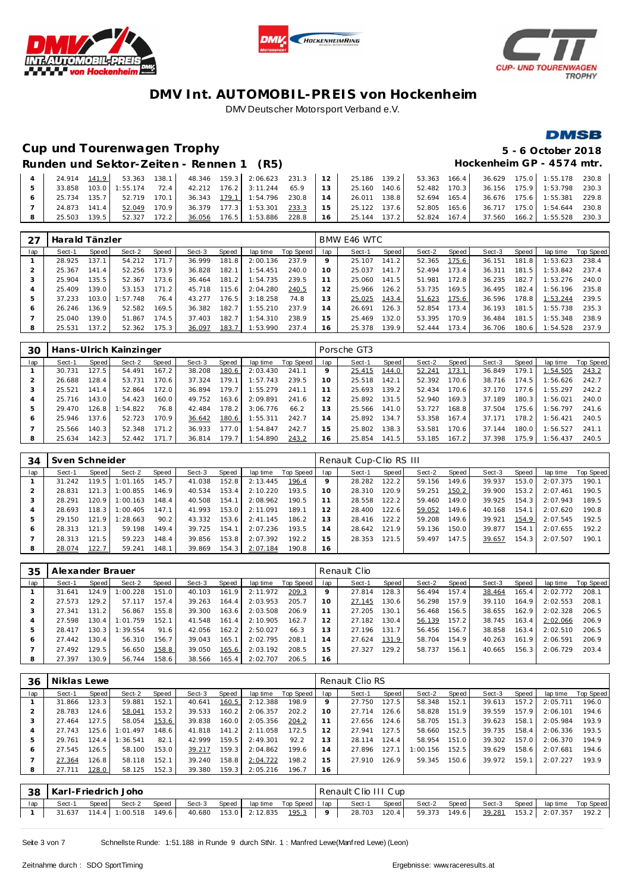





### **Cup und Tourenwagen Trophy 5 - 6 October 2018**

# **DMSB**

### Runden und Sektor-Zeiten - Rennen 1 (R5) **Hockenheim GP** - 4574 mtr.

|     |                |  |  |  |  |  |  |  | 33.858 103.0 1:55.174 72.4   42.212 176.2 3:11.244 65.9   13   25.160 140.6   52.482 170.3   36.156 175.9 1:53.798 230.3           |  |
|-----|----------------|--|--|--|--|--|--|--|------------------------------------------------------------------------------------------------------------------------------------|--|
| 6 1 |                |  |  |  |  |  |  |  | 25.734 135.7   52.719 170.1   36.343 <u>179.1</u> 1:54.796 230.8   14   26.011 138.8   52.694 165.4   36.676 175.6  1:55.381 229.8 |  |
|     | 24.873 141.4   |  |  |  |  |  |  |  |                                                                                                                                    |  |
|     | 8 25.503 139.5 |  |  |  |  |  |  |  | 52.327 172.2 36.056 176.5 1:53.886 228.8 16 25.144 137.2 52.824 167.4 37.560 166.2 1:55.528 230.3                                  |  |

|     | Harald Tänzler |       |          |       |        |       |          |           |                | BMW E46 WTC |       |        |       |        |       |          |           |
|-----|----------------|-------|----------|-------|--------|-------|----------|-----------|----------------|-------------|-------|--------|-------|--------|-------|----------|-----------|
| lap | Sect-1         | Speed | Sect-2   | Speed | Sect-3 | Speed | lap time | Top Speed | lap            | Sect-1      | Speed | Sect-2 | Speed | Sect-3 | Speed | lap time | Top Speed |
|     | 28.925         | 137.1 | 54.212   | 171.7 | 36.999 | 181.8 | 2:00.136 | 237.9     | $\circ$        | 25.107      | 141.2 | 52.365 | 175.6 | 36.151 | 181.8 | 1:53.623 | 238.4     |
|     | 25.367         | 141.4 | 52.256   | 173.9 | 36.828 | 182.1 | 1:54.451 | 240.0     | 10             | 25.037      | 141.7 | 52.494 | 173.4 | 36.311 | 181.5 | 1:53.842 | 237.4     |
|     | 25.904         | 135.5 | 52.367   | 173.6 | 36.464 | 181.2 | 1:54.735 | 239.5     |                | 25.060      | 141.5 | 51.981 | 172.8 | 36.235 | 182.7 | 1:53.276 | 240.0     |
| 4   | 25.409         | 139.0 | 53.153   | 171.2 | 45.718 | 115.6 | 2:04.280 | 240.5     |                | 25.966      | 126.2 | 53.735 | 169.5 | 36.495 | 182.4 | 1:56.196 | 235.8     |
|     | 37.233         | 103.0 | 1:57.748 | 76.4  | 43.277 | 176.5 | 3:18.258 | 74.8      | 3              | 25.025      | 143.4 | 51.623 | 175.6 | 36.596 | 178.8 | 1:53.244 | 239.5     |
| 6   | 26.246         | 136.9 | 52.582   | 169.5 | 36.382 | 182.7 | 1:55.210 | 237.9     | $\overline{a}$ | 26.691      | 126.3 | 52.854 | 173.4 | 36.193 | 181.5 | 1:55.738 | 235.3     |
|     | 25.040         | 139.0 | 51.867   | 174.5 | 37.403 | 182.7 | 1:54.310 | 238.9     | 5              | 25.469      | 132.0 | 53.395 | 170.9 | 36.484 | 181.5 | 1:55.348 | 238.9     |
| 8   | 25.531         | 137.2 | 52.362   | 175.3 | 36.097 | 183.7 | 1:53.990 | 237.4     | 16             | 25.378      | 139.9 | 52.444 | 173.4 | 36.706 | 180.6 | 1:54.528 | 237.9     |

| 30  |        |       | Hans-Ulrich Kainzinger |       |        |       |          |           |     | Porsche GT3 |       |        |       |        |       |          |           |
|-----|--------|-------|------------------------|-------|--------|-------|----------|-----------|-----|-------------|-------|--------|-------|--------|-------|----------|-----------|
| lap | Sect-1 | Speed | Sect-2                 | Speed | Sect-3 | Speed | lap time | Top Speed | lap | Sect-1      | Speed | Sect-2 | Speed | Sect-3 | Speed | lap time | Top Speed |
|     | 30.731 | 127.5 | 54.491                 | 167.2 | 38.208 | 180.6 | 2:03.430 | 241.1     |     | 25.415      | 144.0 | 52.241 | 173.1 | 36.849 | 179.1 | 1:54.505 | 243.2     |
|     | 26.688 | 128.4 | 53.731                 | 170.6 | 37.324 | 79.1  | 1:57.743 | 239.5     | 10  | 25.518      | 142.1 | 52.392 | 170.6 | 38.716 | 174.5 | :56.626  | 242.7     |
| 3   | 25.521 | 141.4 | 52.864                 | 172.0 | 36.894 | 179.7 | 1:55.279 | 241.1     | -1  | 25.693      | 139.2 | 52.434 | 170.6 | 37.170 | 177.6 | :55.297  | 242.2     |
|     | 25.716 | 143.0 | 54.423                 | 160.0 | 49.752 | 163.6 | 2:09.891 | 241.6     | 12  | 25.892      | 131.5 | 52.940 | 169.3 | 37.189 | 180.3 | : 56.021 | 240.0     |
| 5   | 29.470 | 126.8 | 1:54.822               | 76.8  | 42.484 | 78.2  | 3:06.776 | 66.2      | 3   | 25.566      | 141.0 | 53.727 | 168.8 | 37.504 | 175.6 | 1:56.797 | 241.6     |
| Ô   | 25.946 | 137.6 | 52.723                 | 170.9 | 36.642 | 180.6 | 1:55.311 | 242.7     | 14  | 25.892      | 134.7 | 53.358 | 167.4 | 37.171 | 178.2 | :56.421  | 240.5     |
|     | 25.566 | 140.3 | 52.348                 | 171.2 | 36.933 | 177.0 | 1:54.847 | 242.7     | 15  | 25.802      | 138.3 | 53.581 | 170.6 | 37.144 | 180.0 | 1:56.527 | 241.1     |
| 8   | 25.634 | 142.3 | 52.442                 | 171.7 | 36.814 | 179.7 | 1:54.890 | 243.2     | 16  | 25.854      | 141.5 | 53.185 | 167.2 | 37.398 | 175.9 | : 56.437 | 240.5     |

| 34           | Sven Schneider |         |          |       |        |       |          |           |                | Renault Cup-Clio RS III |       |        |                    |        |       |          |           |
|--------------|----------------|---------|----------|-------|--------|-------|----------|-----------|----------------|-------------------------|-------|--------|--------------------|--------|-------|----------|-----------|
| lap          | Sect-1         | Speed   | Sect-2   | Speed | Sect-3 | Speed | lap time | Top Speed | lap            | Sect-1                  | Speed | Sect-2 | Speed              | Sect-3 | Speed | lap time | Top Speed |
|              | 31.242         | 119.5   | 1:01.165 | 145.7 | 41.038 | 152.8 | 2:13.445 | 196.4     |                | 28.282                  | 122.2 | 59.156 | 149.6              | 39.937 | 153.0 | 2:07.375 | 190.1     |
|              | 28.831         | 121.3   | 1:00.855 | 146.9 | 40.534 | 153.4 | 2:10.220 | 193.5     | 10             | 28.310                  | 120.9 | 59.251 | 150.2              | 39.900 | 153.2 | 2:07.461 | 190.5     |
|              | 28.291         | 120.9   | 1:00.163 | 148.4 | 40.508 | 154.1 | 2:08.962 | 190.5     |                | 28.558                  | 122.2 | 59.460 | 149.0              | 39.925 | 154.3 | 2:07.943 | 189.5     |
|              | 28.693         | 118.3 I | 1:00.405 | 147.1 | 41.993 | 153.0 | 2:11.091 | 189.1     |                | 28.400                  | 122.6 | 59.052 | 149.6              | 40.168 | 154.1 | 2:07.620 | 190.8     |
|              | 29.150         | 121.9   | 1:28.663 | 90.2  | 43.332 | 153.6 | 2:41.145 | 186.2     | 13             | 28.416                  | 122.2 | 59.208 | 149.6              | 39.921 | 154.9 | 2:07.545 | 192.5     |
| <sub>6</sub> | 28.313         | 121.3   | 59.198   | 149.4 | 39.725 | 154.1 | 2:07.236 | 193.5     | $\overline{4}$ | 28.642                  | 121.9 | 59.136 | 150.0              | 39.877 | 154.1 | 2:07.655 | 192.2     |
|              | 28.313         | 121.5   | 59.223   | 148.4 | 39.856 | 153.8 | 2:07.392 | 192.2     | 5              | 28.353                  | 121.5 | 59.497 | 147.5 <sub>1</sub> | 39.657 | 154.3 | 2:07.507 | 190.1     |
| 8            | 28.074         | 122.7   | 59.241   | 148.1 | 39.869 | 154.3 | 2:07.184 | 190.8     | 16             |                         |       |        |                    |        |       |          |           |

| 35  | Alexander Brauer |       |          |       |        |       |          |           |                | Renault Clio |       |        |       |        |       |          |           |
|-----|------------------|-------|----------|-------|--------|-------|----------|-----------|----------------|--------------|-------|--------|-------|--------|-------|----------|-----------|
| lap | Sect-1           | Speed | Sect-2   | Speed | Sect-3 | Speed | lap time | Top Speed | lap            | Sect-1       | Speed | Sect-2 | Speed | Sect-3 | Speed | lap time | Top Speed |
|     | 31.641           | 124.9 | : 00.228 | 151.0 | 40.103 | 161.9 | 2:11.972 | 209.3     |                | 27.814       | 128.3 | 56.494 | 157.4 | 38.464 | 165.4 | 2:02.772 | 208.7     |
|     | 27.573           | 129.2 | 57.117   | 157.4 | 39.263 | 164.4 | 2:03.953 | 205.7     | 10             | 27.145       | 130.6 | 56.298 | 157.9 | 39.110 | 164.9 | 2:02.553 | 208.      |
| З   | 27.341           | 131.2 | 56.867   | 155.8 | 39.300 | 163.6 | 2:03.508 | 206.9     |                | 27.205       | 130.1 | 56.468 | 156.5 | 38.655 | 162.9 | 2:02.328 | 206.5     |
|     | 27.598           | 130.4 | : 01.759 | 152.1 | 41.548 | 161.4 | 2:10.905 | 162.7     | 12             | 27.182       | 130.4 | 56.139 | 157.2 | 38.745 | 163.4 | 2:02.066 | 206.9     |
| ь   | 28.417           | 130.3 | 1:39.554 | 91.6  | 42.056 | 162.2 | 2:50.027 | 66.3      | 13             | 27.196       | 131.7 | 56.456 | 156.7 | 38.858 | 163.4 | 2:02.510 | 206.5     |
| Ô   | 27.442           | 130.4 | 56.310   | 156.7 | 39.043 | 165.1 | 2:02.795 | 208.1     | $\overline{4}$ | 27.624       | 131.9 | 58.704 | 154.9 | 40.263 | 161.9 | 2:06.591 | 206.9     |
|     | 27.492           | 129.5 | 56.650   | 158.8 | 39.050 | 165.6 | 2:03.192 | 208.5     | 5              | 27.327       | 129.2 | 58.737 | 156.1 | 40.665 | 156.3 | 2:06.729 | 203.4     |
| 8   | 27.397           | 130.9 | 56.744   | 158.6 | 38.566 | 165.4 | 2:02.707 | 206.5     | 16             |              |       |        |       |        |       |          |           |

| 36  | Niklas Lewe |       |          |       |        |                |          |           |     | Renault Clio RS |       |             |       |        |       |          |           |
|-----|-------------|-------|----------|-------|--------|----------------|----------|-----------|-----|-----------------|-------|-------------|-------|--------|-------|----------|-----------|
| lap | Sect-1      | Speed | Sect-2   | Speed | Sect-3 | Speed          | lap time | Top Speed | lap | Sect-1          | Speed | Sect-2      | Speed | Sect-3 | Speed | lap time | Top Speed |
|     | 31.866      | 123.3 | 59.881   | 152.1 | 40.641 | 160.5          | 2:12.388 | 198.9     | 9   | 27.750          | 127.5 | 58.348      | 152.1 | 39.613 | 157.2 | 2:05.711 | 196.0     |
|     | 28.783      | 24.6  | 58.041   | 153.2 | 39.533 | 160.2          | 2:06.357 | 202.2     | 10  | 27.714          | 126.6 | 58.828      | 151.9 | 39.559 | 157.9 | 2:06.101 | 194.6     |
| З   | 27.464      | 27.5  | 58.054   | 153.6 | 39.838 | 160.0          | 2:05.356 | 204.2     |     | 27.656          | 124.6 | 58.705      | 151.3 | 39.623 | 158.1 | 2:05.984 | 193.9     |
|     | 27.743      | 25.6  | 1:01.497 | 148.6 | 41.818 | 141<br>$\cdot$ | 2:11.058 | 172.5     |     | 27.941          | 127.5 | 58.660      | 152.5 | 39.735 | 158.4 | 2:06.336 | 193.5     |
| 5   | 29.761      | 124.4 | : 36.541 | 82.1  | 42.999 | 159.5          | 2:49.301 | 92.2      | 13  | 28.114          | 124.4 | 58.954      | 151.0 | 39.302 | 157.0 | 2:06.370 | 194.9     |
| O   | 27.545      | 26.5  | 58.100   | 153.0 | 39.217 | 159.3          | 2:04.862 | 199.6     | 4   | 27.896          | 127.1 | 156<br>:00. | 152.5 | 39.629 | 158.6 | 2:07.681 | 194.6     |
|     | 27.364      | 26.8  | 58.118   | 152.1 | 39.240 | 158.8          | 2:04.722 | 198.2     | 5   | 27.910          | 126.9 | 59.345      | 150.6 | 39.972 | 159.1 | 2:07.227 | 193.9     |
| 8   | 27.711      | 128.0 | 58.125   | 152.3 | 39.380 | 159.3          | 2:05.216 | 196.7     | 16  |                 |       |             |       |        |       |          |           |

|     | 38 Karl-Friedrich Joho |       |                             |        |  |  | Renault Clio III Cup                                         |  |                                                                                                         |  |  |
|-----|------------------------|-------|-----------------------------|--------|--|--|--------------------------------------------------------------|--|---------------------------------------------------------------------------------------------------------|--|--|
| lap | Sect-1                 | Speed | Sect-2                      | Speed. |  |  | Sect-3 Speed laptime Top Speed lap Sect-1 Speed Sect-2 Speed |  | Sect-3 Speed lap time Top Speed                                                                         |  |  |
|     |                        |       | 31.637 114.4 1:00.518 149.6 |        |  |  |                                                              |  | 40.680 153.0 2:12.835 <u>195.3</u>   9   28.703 120.4  59.373 149.6  <u>39.281</u> 153.2 2:07.357 192.2 |  |  |

Seite 3 von 7 Schnellste Runde: 1:51.188 in Runde 9 durch StNr. 1 : Manfred Lewe(Manfred Lewe) (Leon)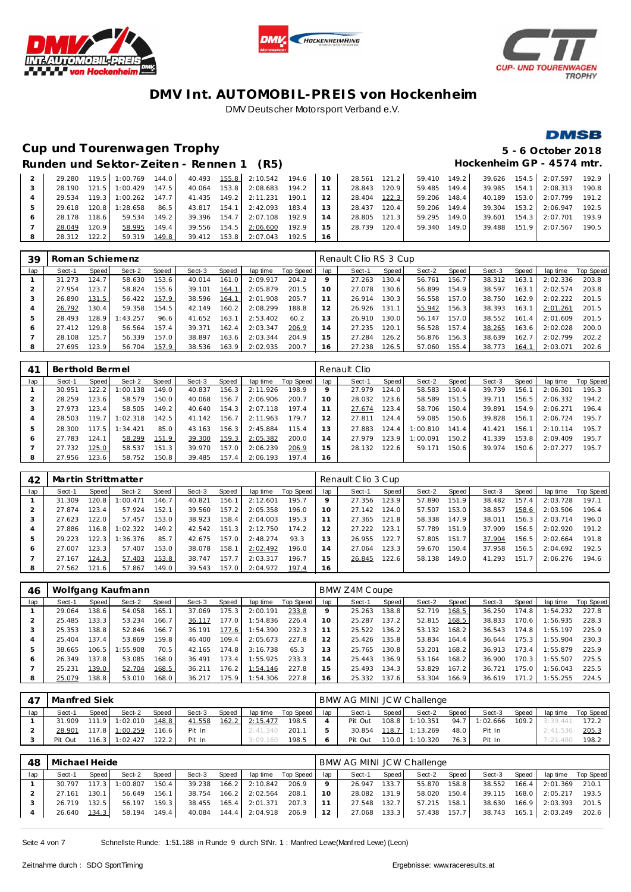





## **Cup und Tourenwagen Trophy 5 - 6 October 2018**

## **DMSB**

|                                          | $\sim$ $\sim$ $\sim$ |  | -------------             |
|------------------------------------------|----------------------|--|---------------------------|
| Runden und Sektor-Zeiten - Rennen 1 (R5) |                      |  | Hockenheim GP - 4574 mtr. |

|  | 29.280 |       | 119.5 1:00.769 | 144.0 |              |       | 40.493 155.8 2:10.542 194.6 10 |       |    | 28.561 121.2 |       | 59.410 149.2 |       |        |                        | 39.626 154.5 2:07.597 | 192.9 |
|--|--------|-------|----------------|-------|--------------|-------|--------------------------------|-------|----|--------------|-------|--------------|-------|--------|------------------------|-----------------------|-------|
|  | 28.190 | 121.5 | 1:00.429       | 147.5 | 40.064       | 153.8 | 2:08.683                       | 194.2 |    | 28.843       | 120.9 | 59.485       | 149.4 | 39.985 | 154.1                  | 2:08.313              | 190.8 |
|  | 29.534 | 119.3 | 1:00.262       | 147.7 | 41.435 149.2 |       | 2:11.231                       | 190.1 | 12 | 28.404       | 122.3 | 59.206       | 148.4 | 40.189 | $153.0$ $\blacksquare$ | 2:07.799              | 191.2 |
|  | 29.618 | 120.8 | 1:28.658       | 86.5  | 43.817       | 154.1 | 2:42.093                       | 183.4 | 13 | 28.437       | 120.4 | 59.206       | 149.4 | 39.304 | 153.2                  | 2:06.947              | 192.5 |
|  | 28.178 | 118.6 | 59.534         | 149.2 | 39.396       | 154.7 | 2:07.108                       | 192.9 | 14 | 28.805       | 121.3 | 59.295       | 149.0 | 39.601 | 154.3                  | 2:07.701              | 193.9 |
|  | 28.049 | 120.9 | 58.995         | 149.4 | 39.556 154.5 |       | 2:06.600                       | 192.9 | 15 | 28.739       | 120.4 | 59.340       | 149.0 | 39.488 | 151.9                  | 2:07.567              | 190.5 |
|  | 28.312 | 122.2 | 59.319         | 149.8 | 39.412 153.8 |       | 2:07.043                       | 192.5 | 16 |              |       |              |       |        |                        |                       |       |

| 39  | Roman Schiemenz |       |          |       |        |       |          |           |                | Renault Clio RS 3 Cup |       |        |       |        |       |          |           |
|-----|-----------------|-------|----------|-------|--------|-------|----------|-----------|----------------|-----------------------|-------|--------|-------|--------|-------|----------|-----------|
| lap | Sect-1          | Speed | Sect-2   | Speed | Sect-3 | Speed | lap time | Top Speed | lap            | Sect-1                | Speed | Sect-2 | Speed | Sect-3 | Speed | lap time | Top Speed |
|     | 31.273          | 124.7 | 58.630   | 153.6 | 40.014 | 161.0 | 2:09.917 | 204.2     | 9              | 27.263                | 130.4 | 56.761 | 156.7 | 38.312 | 163.1 | 2:02.336 | 203.8     |
|     | 27.954          | 123.7 | 58.824   | 155.6 | 39.101 | 164.1 | 2:05.879 | 201.5     | 10             | 27.078                | 130.6 | 56.899 | 154.9 | 38.597 | 163.1 | 2:02.574 | 203.8     |
| 3   | 26.890          | 131.5 | 56.422   | 157.9 | 38.596 | 164.1 | 2:01.908 | 205.7     |                | 26.914                | 130.3 | 56.558 | 157.0 | 38.750 | 162.9 | 2:02.222 | 201.5     |
| 4   | 26.792          | 130.4 | 59.358   | 154.5 | 42.149 | 160.2 | 2:08.299 | 188.8     | 12             | 26.926                | 131.1 | 55.942 | 156.3 | 38.393 | 163.1 | 2:01.261 | 201.5     |
| 5   | 28.493          | 128.9 | 1:43.257 | 96.6  | 41.652 | 163.1 | 2:53.402 | 60.2      | 13             | 26.910                | 130.0 | 56.147 | 157.0 | 38.552 | 161.4 | 2:01.609 | 201.5     |
| Ô   | 27.412          | 129.8 | 56.564   | 157.4 | 39.371 | 162.4 | 2:03.347 | 206.9     | $\overline{4}$ | 27.235                | 120.1 | 56.528 | 157.4 | 38.265 | 163.6 | 2:02.028 | 200.0     |
|     | 28.108          | 125.7 | 56.339   | 157.0 | 38.897 | 163.6 | 2:03.344 | 204.9     | 15             | 27.284                | 126.2 | 56.876 | 156.3 | 38.639 | 162.7 | 2:02.799 | 202.2     |
| 8   | 27.695          | 123.9 | 56.704   | 157.9 | 38.536 | 163.9 | 2:02.935 | 200.7     | 6              | 27.238                | 126.5 | 57.060 | 155.4 | 38.773 | 164.1 | 2:03.071 | 202.6     |

| 41  | Berthold Bermel |       |          |       |        |       |          |           |                 | Renault Clio |       |          |       |        |       |          |           |
|-----|-----------------|-------|----------|-------|--------|-------|----------|-----------|-----------------|--------------|-------|----------|-------|--------|-------|----------|-----------|
| lap | Sect-1          | Speed | Sect-2   | Speed | Sect-3 | Speed | lap time | Top Speed | lap             | Sect-1       | Speed | Sect-2   | Speed | Sect-3 | Speed | lap time | Top Speed |
|     | 30.951          | 122.2 | 1:00.138 | 149.0 | 40.837 | 156.3 | 2:11.926 | 198.9     |                 | 27.979       | 124.0 | 58.583   | 150.4 | 39.739 | 156.1 | 2:06.301 | 195.3     |
|     | 28.259          | 123.6 | 58.579   | 150.0 | 40.068 | 156.7 | 2:06.906 | 200.7     | 10 <sup>°</sup> | 28.032       | 123.6 | 58.589   | 151.5 | 39.711 | 156.5 | 2:06.332 | 194.2     |
| 3   | 27.973          | 123.4 | 58.505   | 149.2 | 40.640 | 154.3 | 2:07.118 | 197.4     |                 | 27.674       | 123.4 | 58.706   | 150.4 | 39.891 | 154.9 | 2:06.271 | 196.4     |
|     | 28.503          | 119.7 | 1:02.318 | 142.5 | 41.142 | 156.7 | 2:11.963 | 179.7     | $\mathcal{P}$   | 27.811       | 124.4 | 59.085   | 150.6 | 39.828 | 156.1 | 2:06.724 | 195.7     |
| 5   | 28.300          | 117.5 | 1:34.421 | 85.0  | 43.163 | 156.3 | 2:45.884 | 115.4     |                 | 27.883       | 124.4 | 1:00.810 | 141.4 | 41.421 | 156.1 | 2:10.114 | 195.7     |
| 6   | 27.783          | 124.1 | 58.299   | 151.9 | 39.300 | 159.3 | 2:05.382 | 200.0     | 4               | 27.979       | 123.9 | 1:00.091 | 150.2 | 41.339 | 153.8 | 2:09.409 | 195.7     |
|     | 27.732          | 125.0 | 58.537   | 151.3 | 39.970 | 157.0 | 2:06.239 | 206.9     | 5               | 28.132       | 122.6 | 59.171   | 150.6 | 39.974 | 150.6 | 2:07.277 | 195.7     |
| 8   | 27.956          | 123.6 | 58.752   | 150.8 | 39.485 | 157.4 | 2:06.193 | 197.4     | 16              |              |       |          |       |        |       |          |           |

| 42  |        |       | Martin Strittmatter |       |        |       |          |           |     | Renault Clio 3 Cup |       |        |                       |        |       |          |           |
|-----|--------|-------|---------------------|-------|--------|-------|----------|-----------|-----|--------------------|-------|--------|-----------------------|--------|-------|----------|-----------|
| lap | Sect-1 | Speed | Sect-2              | Speed | Sect-3 | Speed | lap time | Top Speed | lap | Sect-1             | Speed | Sect-2 | Speed                 | Sect-3 | Speed | lap time | Top Speed |
|     | 31.309 | 120.8 | : 00.471            | 146.7 | 40.821 | 156.1 | 2:12.601 | 195.7     |     | 27.356             | 123.9 | 57.890 | 151.9                 | 38.482 | 157.4 | 2:03.728 | 197.1     |
|     | 27.874 | 123.4 | 57.924              | 152.1 | 39.560 | 157.2 | 2:05.358 | 196.0     | 10  | 27.142             | 124.0 | 57.507 | 153.0                 | 38.857 | 158.6 | 2:03.506 | 196.4     |
| 3   | 27.623 | 122.0 | 57.457              | 153.0 | 38.923 | 158.4 | 2:04.003 | 195.3     |     | 27.365             | 121.8 | 58.338 | 147.9                 | 38.011 | 156.3 | 2:03.714 | 196.0     |
| 4   | 27.886 | 116.8 | :02.322             | 149.2 | 42.542 | 151.3 | 2:12.750 | 174.2     | 12  | 27.222             | 123.1 | 57.789 | 151.9                 | 37.909 | 156.5 | 2:02.920 | 191.2     |
| 5   | 29.223 | 122.3 | : 36.376            | 85.7  | 42.675 | 157.0 | 2:48.274 | 93.3      | 13  | 26.955             | 122.7 | 57.805 | 151<br>$\overline{7}$ | 37.904 | 156.5 | 2:02.664 | 191.8     |
| O   | 27.007 | 123.3 | 57.407              | 153.0 | 38.078 | 158.1 | 2:02.492 | 196.0     | 14  | 27.064             | 123.3 | 59.670 | 150.4                 | 37.958 | 156.5 | 2:04.692 | 192.5     |
|     | 27.167 | 124.3 | 57.403              | 153.8 | 38.747 | 157.7 | 2:03.317 | 196.7     | 15  | 26.845             | 122.6 | 58.138 | 149.0                 | 41.293 | 151.7 | 2:06.276 | 194.6     |
| 8   | 27.562 | 121.6 | 57.867              | 149.0 | 39.543 | 157.0 | 2:04.972 | 197.4     | 16  |                    |       |        |                       |        |       |          |           |

| 46  |        |       | Wolfgang Kaufmann |       |        |       |          |           |     | BMW Z4M Coupe |                    |        |       |        |       |          |           |
|-----|--------|-------|-------------------|-------|--------|-------|----------|-----------|-----|---------------|--------------------|--------|-------|--------|-------|----------|-----------|
| lap | Sect-1 | Speed | Sect-2            | Speed | Sect-3 | Speed | lap time | Top Speed | lap | Sect-1        | Speed              | Sect-2 | Speed | Sect-3 | Speed | lap time | Top Speed |
|     | 29.064 | 138.6 | 54.058            | 165.1 | 37.069 | 175.3 | 2:00.191 | 233.8     |     | 25.263        | 138.8              | 52.719 | 168.5 | 36.250 | 174.8 | 1:54.232 | 227.8     |
|     | 25.485 | 133.3 | 53.234            | 166.7 | 36.117 | 177.0 | 1:54.836 | 226.4     | 10  | 25.287        | 137.2              | 52.815 | 168.5 | 38.833 | 170.6 | 1:56.935 | 228.3     |
| 3   | 25.353 | 138.8 | 52.846            | 166.7 | 36.191 | 177.6 | 1:54.390 | 232.3     | 11  | 25.522        | 136.2              | 53.132 | 168.2 | 36.543 | 174.8 | 1:55.197 | 225.9     |
|     | 25.404 | 137.4 | 53.869            | 159.8 | 46.400 | 109.4 | 2:05.673 | 227.8     | 12  | 25.426        | 135.8              | 53.834 | 164.4 | 36.644 | 175.3 | 1:55.904 | 230.3     |
| 5   | 38.665 | 106.5 | :55.908           | 70.5  | 42.165 | 174.8 | 3:16.738 | 65.3      | 13  | 25.765        | 130.8              | 53.201 | 168.2 | 36.913 | 173.4 | 1:55.879 | 225.9     |
| 6   | 26.349 | 137.8 | 53.085            | 168.0 | 36.491 | 173.4 | 1:55.925 | 233.3     | 14  | 25.443        | 136.9              | 53.164 | 168.2 | 36.900 | 170.3 | 1:55.507 | 225.5     |
|     | 25.231 | 139.0 | 52.704            | 168.5 | 36.211 | 176.2 | 1:54.146 | 227.8     | 15  | 25.493        | 134.3              | 53.829 | 167.2 | 36.721 | 175.0 | 1:56.043 | 225.5     |
| 8   | 25.079 | 138.8 | 53.010            | 168.0 | 36.217 | 175.9 | 1:54.306 | 227.8     | 16  | 25.332        | 137.6 <sub>1</sub> | 53.304 | 166.9 | 36.619 | 171.2 | 1:55.255 | 224.5     |

|     | Manfred Siek |       |                  |       |        |       |          |                   |     | BMW AG MINI JCW Challenge |       |                |       |               |       |                |           |
|-----|--------------|-------|------------------|-------|--------|-------|----------|-------------------|-----|---------------------------|-------|----------------|-------|---------------|-------|----------------|-----------|
| lap | Sect-1       | Speed | Sect-2           | Speed | Sect-3 | Speed |          | laptime Top Speed | lap | Sect-1                    | Speed | Sect-2         | Speed | Sect-3        | Speed | lap time       | Top Speed |
|     | 31.909       |       | $111.9$ 1:02.010 | 148.8 | 41.558 | 162.2 | 2:15.477 | 198.5             |     | Pit Out                   |       | 108.8 1:10.351 |       | 94.7 1:02.666 |       | 109.2 3:39.441 | 172.2     |
|     | 28.901       |       | 117.8 1:00.259   | 116.6 | Pit In |       | 2:41.340 | 201.1             |     | 30.854                    |       | 118.7 1:13.269 | 48.0  | Pit In        |       | 2:41.536       | 205.3     |
|     | Pit Out      | 116.3 | 1:02.427         | 122.2 | Pit In |       | 3:09.160 | 198.5             |     | Pit Out                   | 110.0 | 1:10.320       | 76.3  | Pit In        |       | 7:21.480       | 198.2     |

| 48  | Michael Heide |                                                                   |          |       |              |       |          |       |                 | BMW AG MINI JCW Challenge |       |              |       |        |         |          |                    |
|-----|---------------|-------------------------------------------------------------------|----------|-------|--------------|-------|----------|-------|-----------------|---------------------------|-------|--------------|-------|--------|---------|----------|--------------------|
| lap | Sect-1        | Sect-3<br>Speed<br>lap time Top Speed<br>Speed<br>Speed<br>Sect-2 |          |       |              |       |          |       |                 | Sect-1                    | Speed | Sect-2       | Speed | Sect-3 | Speed   |          | lap time Top Speed |
|     | 30.797        | 117.3                                                             | 1:00.807 | 150.4 | 39.238       | 166.2 | 2:10.842 | 206.9 | $\mathbf Q$     | 26.947                    | 133.7 | 55.870       | 158.8 | 38.552 | $166.4$ | 2:01.369 | 210.1              |
|     | 27.161        | 130.1                                                             | 56.649   | 156.1 | 38.754       | 166.2 | 2:02.564 | 208.1 | 10 <sup>°</sup> | 28.082                    | 131.9 | 58.020       | 150.4 | 39.115 | 168.0   | 2:05.217 | 193.5              |
|     | 26.719        | 132.5                                                             | 56.197   | 159.3 | 38.455       | 165.4 | 2:01.371 | 207.3 |                 | 27.548                    | 132.7 | 57.215 158.1 |       | 38.630 | 166.9   | 2:03.393 | 201.5              |
|     | 26.640        | 134.3                                                             | 58.194   | 149.4 | 40.084 144.4 |       | 2:04.918 | 206.9 | 12              | 27.068                    | 133.3 | 57.438 157.7 |       | 38.743 | 165.1   | 2:03.249 | 202.6              |

Seite 4 von 7 Schnellste Runde: 1:51.188 in Runde 9 durch StNr. 1 : Manfred Lewe(Manf red Lewe) (Leon)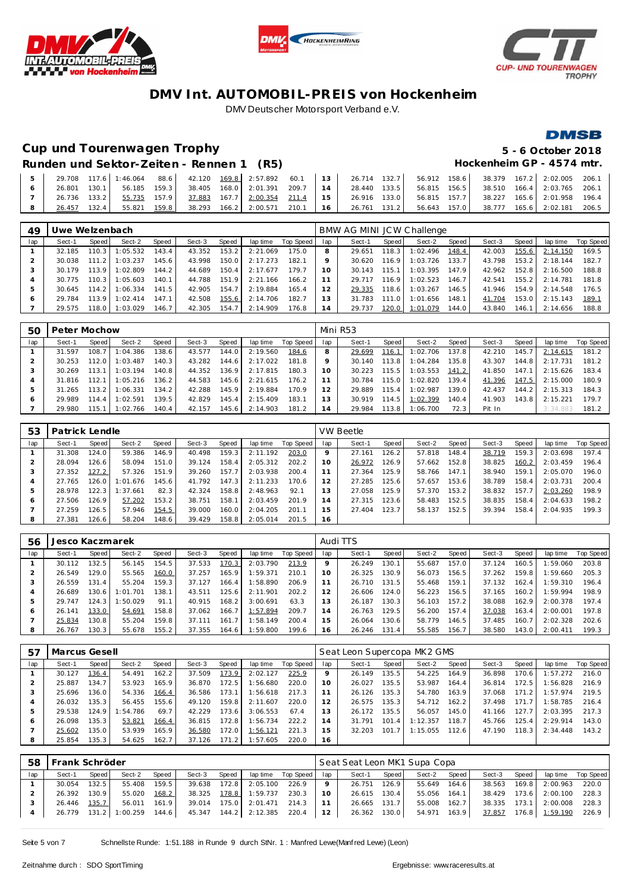





### **Cup und Tourenwagen Trophy 5 - 6 October 2018**

# **DMSB**

### Runden und Sektor-Zeiten - Rennen 1 (R5) **Hockenheim GP** - 4574 mtr.

|        |       |  |  |                                                                                    |  |  |              |  | 29.708 117.6 1:46.064 88.6 42.120 169.8 2:57.892 60.1 13 26.714 132.7 56.912 158.6 38.379 167.2 2:02.005 206.1 |  |
|--------|-------|--|--|------------------------------------------------------------------------------------|--|--|--------------|--|----------------------------------------------------------------------------------------------------------------|--|
|        |       |  |  | 26.801 130.1 56.185 159.3 38.405 168.0 2:01.391 209.7 14 28.440 133.5 56.815 156.5 |  |  |              |  | 38.510 166.4 2:03.765 206.1                                                                                    |  |
|        |       |  |  |                                                                                    |  |  |              |  | 26.736 133.2 55.735 157.9 37.883 167.7 2:00.354 211.4 15 26.916 133.0 56.815 157.7 38.227 165.6 2:01.958 196.4 |  |
| 26.457 | 132.4 |  |  | 55.821 159.8 38.293 166.2 2:00.571 210.1 16 26.761 131.2                           |  |  | 56.643 157.0 |  | 38.777  165.6  2:02.181  206.5                                                                                 |  |

| 49  | Uwe Welzenbach |         |          |       |        |       |          |           |     | BMW AG MINI JCW Challenge |       |          |       |        |       |          |           |
|-----|----------------|---------|----------|-------|--------|-------|----------|-----------|-----|---------------------------|-------|----------|-------|--------|-------|----------|-----------|
| lap | Sect-1         | Speed   | Sect-2   | Speed | Sect-3 | Speed | lap time | Top Speed | lap | Sect-1                    | Speed | Sect-2   | Speed | Sect-3 | Speed | lap time | Top Speed |
|     | 32.185         | 110.3   | 1:05.532 | 143.4 | 43.352 | 153.2 | 2:21.069 | 175.0     |     | 29.651                    | 118.3 | 1:02.496 | 148.4 | 42.003 | 155.6 | 2:14.150 | 169.5     |
|     | 30.038         | 111.2   | 1:03.237 | 145.6 | 43.998 | 150.0 | 2:17.273 | 182.1     |     | 30.620                    | 116.9 | 1:03.726 | 133.7 | 43.798 | 153.2 | 2:18.144 | 182.7     |
|     | 30.179         | 113.91  | 1:02.809 | 144.2 | 44.689 | 150.4 | 2:17.677 | 179.7     | 10  | 30.143                    | 115.1 | 1:03.395 | 147.9 | 42.962 | 152.8 | 2:16.500 | 188.8     |
|     | 30.775         | 110.3   | 1:05.603 | 140.1 | 44.788 | 151.9 | 2:21.166 | 166.2     |     | 29.717                    | 116.9 | 1:02.523 | 146.7 | 42.541 | 155.2 | 2:14.781 | 181.8     |
|     | 30.645         | 114.2   | 1:06.334 | 141.5 | 42.905 | 154.7 | 2:19.884 | 165.4     |     | 29.335                    | 118.6 | 1:03.267 | 146.5 | 41.946 | 154.9 | 2:14.548 | 176.5     |
| Ô   | 29.784         | 113.9   | 1:02.414 | 147.1 | 42.508 | 155.6 | 2:14.706 | 182.7     |     | 31.783                    | 111.0 | 1:01.656 | 148.1 | 41.704 | 153.0 | 2:15.143 | 189.      |
|     | 29.575         | 118.0 l | 1:03.029 | 146.7 | 42.305 | 154.7 | 2:14.909 | 176.8     | 4   | 29.737                    | 120.0 | 1:01.079 | 144.0 | 43.840 | 146.1 | 2:14.656 | 188.8     |

| 50  | Peter Mochow |       |          |       |        |       |          |           |     | Mini R53 |                        |          |       |        |       |          |           |
|-----|--------------|-------|----------|-------|--------|-------|----------|-----------|-----|----------|------------------------|----------|-------|--------|-------|----------|-----------|
| lap | Sect-1       | Speed | Sect-2   | Speed | Sect-3 | Speed | lap time | Top Speed | lap | Sect-1   | Speed                  | Sect-2   | Speed | Sect-3 | Speed | lap time | Top Speed |
|     | 31.597       | 108.7 | 1:04.386 | 138.6 | 43.577 | 144.0 | 2:19.560 | 184.6     | 8   | 29.699   | 116.1                  | 1:02.706 | 137.8 | 42.210 | 145.7 | 2:14.615 | 181.2     |
|     | 30.253       | 112.0 | 1:03.487 | 140.3 | 43.282 | 144.6 | 2:17.022 | 181.8     | Q   | 30.140   | $113.8$ $\blacksquare$ | 1:04.284 | 135.8 | 43.307 | 144.8 | 2:17.731 | 181.2     |
|     | 30.269       | 113.1 | 1:03.194 | 140.8 | 44.352 | 136.9 | 2:17.815 | 180.3     | 10  | 30.223   | 115.5                  | 1:03.553 | 141.2 | 41.850 | 147.1 | 2:15.626 | 183.4     |
|     | 31.816       | 112.1 | 1:05.216 | 136.2 | 44.583 | 145.6 | 2:21.615 | 176.2     |     | 30.784   | 115.0                  | 1:02.820 | 139.4 | 41.396 | 147.5 | 2:15.000 | 180.9     |
|     | 31.265       | 113.2 | 1:06.331 | 134.2 | 42.288 | 145.9 | 2:19.884 | 170.9     | 12  | 29.889   | 115.4                  | 1:02.987 | 139.0 | 42.437 | 144.2 | 2:15.313 | 184.3     |
| 6   | 29.989       | 114.4 | 1:02.591 | 139.5 | 42.829 | 145.4 | 2:15.409 | 183.1     | 13  | 30.919   | 114.5                  | 1:02.399 | 140.4 | 41.903 | 143.8 | 2:15.221 | 179.7     |
|     | 29.980       | 115.1 | 1:02.766 | 140.4 | 42.157 | 145.6 | 2:14.903 | 181.2     | 14  | 29.984   | 113.8                  | 1:06.700 | 72.3  | Pit In |       | 3:34.883 | 181.2     |

| 53  | Patrick Lendle |              |          |       |        |       |          |           |                | <b>VW Beetle</b> |       |        |       |        |       |          |           |
|-----|----------------|--------------|----------|-------|--------|-------|----------|-----------|----------------|------------------|-------|--------|-------|--------|-------|----------|-----------|
| lap | Sect-1         | <b>Speed</b> | Sect-2   | Speed | Sect-3 | Speed | lap time | Top Speed | lap            | Sect-1           | Speed | Sect-2 | Speed | Sect-3 | Speed | lap time | Top Speed |
|     | 31.308         | 124.0        | 59.386   | 146.9 | 40.498 | 159.3 | 2:11.192 | 203.0     | $\mathbf Q$    | 27.161           | 126.2 | 57.818 | 148.4 | 38.719 | 159.3 | 2:03.698 | 197.4     |
| 2   | 28.094         | 126.6        | 58.094   | 151.0 | 39.124 | 158.4 | 2:05.312 | 202.2     | 10             | 26.972           | 126.9 | 57.662 | 152.8 | 38.825 | 160.2 | 2:03.459 | 196.4     |
|     | 27.352         | 127.2        | 57.326   | 151.9 | 39.260 | 157.7 | 2:03.938 | 200.4     |                | 27.364           | 125.9 | 58.766 | 147.1 | 38.940 | 159.1 | 2:05.070 | 196.0     |
| 4   | 27.765         | 126.0        | 1:01.676 | 145.6 | 41.792 | 147.3 | 2:11.233 | 170.6     |                | 27.285           | 125.6 | 57.657 | 153.6 | 38.789 | 158.4 | 2:03.731 | 200.4     |
| 5   | 28.978         | 122.3        | 1:37.661 | 82.3  | 42.324 | 158.8 | 2:48.963 | 92.1      | 3              | 27.058           | 125.9 | 57.370 | 153.2 | 38.832 | 157.7 | 2:03.260 | 198.9     |
| O   | 27.506         | 126.9        | 57.202   | 153.2 | 38.751 | 158.1 | 2:03.459 | 201.9     | $\overline{4}$ | 27.315           | 123.6 | 58.483 | 152.5 | 38.835 | 158.4 | 2:04.633 | 198.2     |
|     | 27.259         | 126.5        | 57.946   | 154.5 | 39.000 | 160.0 | 2:04.205 | 201.1     | 5              | 27.404           | 123.7 | 58.137 | 152.5 | 39.394 | 158.4 | 2:04.935 | 199.3     |
| 8   | 27.381         | 126.6        | 58.204   | 148.6 | 39.429 | 158.8 | 2:05.014 | 201.5     | 16             |                  |       |        |       |        |       |          |           |

| 56  | Jesco Kaczmarek |       |          |       |        |       |          |           |     | Audi TTS |       |        |                    |        |       |          |           |
|-----|-----------------|-------|----------|-------|--------|-------|----------|-----------|-----|----------|-------|--------|--------------------|--------|-------|----------|-----------|
| lap | Sect-1          | Speed | Sect-2   | Speed | Sect-3 | Speed | lap time | Top Speed | lap | Sect-1   | Speed | Sect-2 | Speed              | Sect-3 | Speed | lap time | Top Speed |
|     | 30.112          | 132.5 | 56.145   | 154.5 | 37.533 | 170.3 | 2:03.790 | 213.9     |     | 26.249   | 130.1 | 55.687 | 157.0              | 37.124 | 160.5 | 1:59.060 | 203.8     |
| 2   | 26.549          | 129.0 | 55.565   | 160.0 | 37.257 | 165.9 | 1:59.371 | 210.1     | 10  | 26.325   | 130.9 | 56.073 | 156.5              | 37.262 | 159.8 | 1:59.660 | 205.3     |
| 3   | 26.559          | 131.4 | 55.204   | 159.3 | 37.127 | 166.4 | 1:58.890 | 206.9     |     | 26.710   | 131.5 | 55.468 | 159.1              | 37.132 | 162.4 | 1:59.310 | 196.4     |
| 4   | 26.689          | 130.6 | 1:01.701 | 138.1 | 43.511 | 125.6 | 2:11.901 | 202.2     | 12  | 26.606   | 124.0 | 56.223 | 156.5              | 37.165 | 160.2 | 1:59.994 | 198.9     |
| 5   | 29.747          | 124.3 | 1:50.029 | 91.1  | 40.915 | 168.2 | 3:00.691 | 63.3      | 3   | 26.187   | 130.3 | 56.103 | 157.2              | 38.088 | 162.9 | 2:00.378 | 197.4     |
| 6   | 26.141          | 133.0 | 54.691   | 158.8 | 37.062 | 166.7 | 1:57.894 | 209.7     | 14  | 26.763   | 129.5 | 56.200 | 157.4              | 37.038 | 163.4 | 2:00.001 | 197.8     |
|     | 25.834          | 130.8 | 55.204   | 159.8 | 37.111 | 161.7 | 1:58.149 | 200.4     | 15  | 26.064   | 130.6 | 58.779 | 146.5              | 37.485 | 160.7 | 2:02.328 | 202.6     |
| 8   | 26.767          | 130.3 | 55.678   | 155.2 | 37.355 | 164.6 | 1:59.800 | 199.6     | 16  | 26.246   | 131.4 | 55.585 | 156.7 <sub>1</sub> | 38.580 | 143.0 | 2:00.411 | 199.3     |

| 57  | Marcus Gesell |       |          |       |        |       |          |           |     | Seat Leon Supercopa MK2 GMS |       |          |                    |        |       |          |           |
|-----|---------------|-------|----------|-------|--------|-------|----------|-----------|-----|-----------------------------|-------|----------|--------------------|--------|-------|----------|-----------|
| lap | Sect-1        | Speed | Sect-2   | Speed | Sect-3 | Speed | lap time | Top Speed | lap | Sect-1                      | Speed | Sect-2   | Speed              | Sect-3 | Speed | lap time | Top Speed |
|     | 30.127        | 136.4 | 54.491   | 162.2 | 37.509 | 173.9 | 2:02.127 | 225.9     |     | 26.149                      | 135.5 | 54.225   | 164.9 <sub>1</sub> | 36.898 | 170.6 | 1:57.272 | 216.0     |
|     | 25.887        | 134.7 | 53.923   | 165.9 | 36.870 | 172.5 | 1:56.680 | 220.0     | 10  | 26.027                      | 135.5 | 53.987   | 164.4              | 36.814 | 172.5 | 1:56.828 | 216.9     |
|     | 25.696        | 136.0 | 54.336   | 166.4 | 36.586 | 173.1 | : 56.618 | 217.3     |     | 26.126                      | 135.3 | 54.780   | 163.9              | 37.068 | 171.2 | : 57.974 | 219.5     |
| 4   | 26.032        | 135.3 | 56.455   | 155.6 | 49.120 | 159.8 | 2:11.607 | 220.0     | 12  | 26.575                      | 135.3 | 54.712   | 162.2              | 37.498 | 171.7 | 1:58.785 | 216.4     |
| ь   | 29.538        | 124.9 | : 54.786 | 69.7  | 42.229 | 173.6 | 3:06.553 | 67.4      | 13  | 26.172                      | 135.5 | 56.057   | 145.0              | 41.166 | 127.7 | 2:03.395 | 217.3     |
| 6   | 26.098        | 35.3  | 53.821   | 166.4 | 36.815 | 172.8 | 1:56.734 | 222.2     | 14  | 31.791                      | 101.4 | 1:12.357 | 118.7              | 45.766 | 125.4 | 2:29.914 | 143.0     |
|     | 25.602        | 135.0 | 53.939   | 165.9 | 36.580 | 172.0 | 1:56.121 | 221.3     | 15  | 32.203                      | 101.7 | 1:15.055 | 112.6              | 47.190 | 118.3 | 2:34.448 | 143.2     |
| 8   | 25.854        | 135.3 | 54.625   | 162.7 | 37.126 | 171.2 | 1:57.605 | 220.0     | 16  |                             |       |          |                    |        |       |          |           |

| 58  | Frank Schröder |         |                       |       |              |       |                                |                    |          | Seat Seat Leon MK1 Supa Copa |       |              |       |        |       |                |                    |
|-----|----------------|---------|-----------------------|-------|--------------|-------|--------------------------------|--------------------|----------|------------------------------|-------|--------------|-------|--------|-------|----------------|--------------------|
| lap | Sect-1         | Speed I | Sect-2                | Speed | Sect-3       | Speed |                                | lap time Top Speed | lap      | Sect-1                       | Speed | Sect-2       | Speed | Sect-3 | Speed |                | lap time Top Speed |
|     | 30.054         | 132.5   | 55.408                | 159.5 | 39.638       | 172.8 | 2:05.100                       | 226.9              | $\Omega$ | 26.751                       | 126.9 | 55.649 164.6 |       | 38.563 |       | 169.8 2:00.963 | 220.0              |
|     | 26.392         | 130.9   | 55.020                | 168.2 | 38.325 178.8 |       | 1:59.737                       | 230.3              | $10^{-}$ | 26.615 130.4                 |       | 55.056 164.1 |       | 38.429 |       | 173.6 2:00.100 | 228.3              |
|     | 26.446         | 135.7   | 56.011                | 161.9 | 39.014 175.0 |       | 2:01.471                       | 214.3              |          | 26.665 131.7                 |       | 55.008       | 162.7 | 38.335 |       | 173.1 2:00.008 | 228.3              |
|     |                |         | 26.779 131.2 1:00.259 | 144.6 |              |       | 45.347  144.2  2:12.385  220.4 |                    | 12       | 26.362 130.0                 |       | 54.971 163.9 |       | 37.857 |       | 176.8 1:59.190 | 226.9              |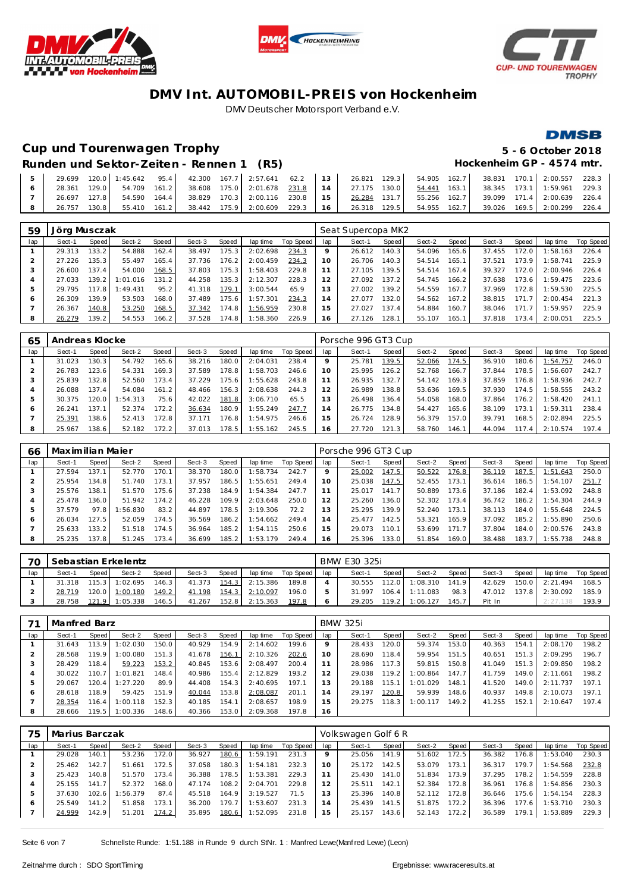





### **Cup und Tourenwagen Trophy 5 - 6 October 2018**

### **DMSB**

### Runden und Sektor-Zeiten - Rennen 1 (R5) **Hockenheim GP** - 4574 mtr.

| $5-1$ |  |  |  |  |  |  |  | 29.699 120.0 1:45.642 95.4 42.300 167.7 2:57.641 62.2 13 26.821 129.3 54.905 162.7 38.831 170.1 2:00.557 228.3 |  |
|-------|--|--|--|--|--|--|--|----------------------------------------------------------------------------------------------------------------|--|
|       |  |  |  |  |  |  |  | 28.361 129.0 54.709 161.2 38.608 175.0 2:01.678 231.8 14 27.175 130.0 54.441 163.1 38.345 173.1 1:59.961 229.3 |  |
|       |  |  |  |  |  |  |  | 26.697 127.8 54.590 164.4 38.829 170.3 2:00.116 230.8 15 26.284 131.7 55.256 162.7 39.099 171.4 2:00.639 226.4 |  |
|       |  |  |  |  |  |  |  | 26.757 130.8 55.410 161.2 38.442 175.9 2:00.609 229.3 16 26.318 129.5 54.955 162.7 39.026 169.5 2:00.299 226.4 |  |

| 59  | Jörg Musczak |       |          |       |        |       |          |           | Seat Supercopa MK2 |        |       |        |       |        |              |          |           |
|-----|--------------|-------|----------|-------|--------|-------|----------|-----------|--------------------|--------|-------|--------|-------|--------|--------------|----------|-----------|
| lap | Sect-1       | Speed | Sect-2   | Speed | Sect-3 | Speed | lap time | Top Speed | lap                | Sect-1 | Speed | Sect-2 | Speed | Sect-3 | <b>Speed</b> | lap time | Top Speed |
|     | 29.313       | 133.2 | 54.888   | 162.4 | 38.497 | 75.3  | 2:02.698 | 234.3     |                    | 26.612 | 140.3 | 54.096 | 165.6 | 37.455 | 172.0        | 1:58.163 | 226.4     |
|     | 27.226       | 135.3 | 55.497   | 165.4 | 37.736 | 176.2 | 2:00.459 | 234.3     | 10 <sup>°</sup>    | 26.706 | 140.3 | 54.514 | 165.1 | 37.521 | 173.9        | 1:58.741 | 225.9     |
| 3   | 26.600       | 137.4 | 54.000   | 168.5 | 37.803 | 175.3 | 1:58.403 | 229.8     |                    | 27.105 | 139.5 | 54.514 | 167.4 | 39.327 | 172.0        | 2:00.946 | 226.4     |
|     | 27.033       | 139.2 | 1:01.016 | 131.2 | 44.258 | 135.3 | 2:12.307 | 228.3     | 2                  | 27.092 | 137.2 | 54.745 | 166.2 | 37.638 | 173.6        | 1:59.475 | 223.6     |
| b   | 29.795       | 117.8 | 1:49.431 | 95.2  | 41.318 | 179.1 | 3:00.544 | 65.9      | 3                  | 27.002 | 139.2 | 54.559 | 167.7 | 37.969 | 172.8        | 1:59.530 | 225.5     |
| O   | 26.309       | 139.9 | 53.503   | 168.0 | 37.489 | 75.6  | 1:57.301 | 234.3     | $\overline{a}$     | 27.077 | 132.0 | 54.562 | 167.2 | 38.815 | 171.7        | 2:00.454 | 221.3     |
|     | 26.367       | 140.8 | 53.250   | 168.5 | 37.342 | 174.8 | 1:56.959 | 230.8     | 5                  | 27.027 | 137.4 | 54.884 | 160.7 | 38.046 | 171.7        | 1:59.957 | 225.9     |
| 8   | 26.279       | 139.2 | 54.553   | 166.2 | 37.528 | 174.8 | 1:58.360 | 226.9     | 16                 | 27.126 | 128.1 | 55.107 | 165.1 | 37.818 | 173.4        | 2:00.051 | 225.5     |

| 65  | Andreas Klocke |       |         |       |        |       |          |                  | Porsche 996 GT3 Cup |        |       |        |         |        |              |          |           |
|-----|----------------|-------|---------|-------|--------|-------|----------|------------------|---------------------|--------|-------|--------|---------|--------|--------------|----------|-----------|
| lap | Sect-1         | Speed | Sect-2  | Speed | Sect-3 | Speed | lap time | <b>Top Speed</b> | lap                 | Sect-1 | Speed | Sect-2 | Speed   | Sect-3 | <b>Speed</b> | lap time | Top Speed |
|     | 31.023         | 130.3 | 54.792  | 165.6 | 38.216 | 180.0 | 2:04.031 | 238.4            | Q                   | 25.781 | 139.5 | 52.066 | 174.5   | 36.910 | 180.6        | 1:54.757 | 246.0     |
|     | 26.783         | 123.6 | 54.331  | 169.3 | 37.589 | 178.8 | 1:58.703 | 246.6            | 10                  | 25.995 | 126.2 | 52.768 | 166.7   | 37.844 | 178.5        | 1:56.607 | 242.7     |
| 3   | 25.839         | 132.8 | 52.560  | 173.4 | 37.229 | 175.6 | 1:55.628 | 243.8            |                     | 26.935 | 132.7 | 54.142 | 169.3   | 37.859 | 176.8        | 1:58.936 | 242.7     |
|     | 26.088         | 137.4 | 54.084  | 161.2 | 48.466 | 156.3 | 2:08.638 | 244.3            | 12                  | 26.989 | 138.8 | 53.636 | 169.5   | 37.930 | 174.5        | 1:58.555 | 243.2     |
| 5   | 30.375         | 120.0 | :54.313 | 75.6  | 42.022 | 181.8 | 3:06.710 | 65.5             | 13                  | 26.498 | 136.4 | 54.058 | 168.0   | 37.864 | 176.2        | 1:58.420 | 241.1     |
| Ô   | 26.241         | 137.1 | 52.374  | 172.2 | 36.634 | 180.9 | 1:55.249 | 247.7            | 14                  | 26.775 | 134.8 | 54.427 | 165.6 l | 38.109 | 173.1        | 1:59.311 | 238.4     |
|     | 25.391         | 138.6 | 52.413  | 172.8 | 37.171 | 176.8 | 1:54.975 | 246.6            | 15                  | 26.724 | 128.9 | 56.379 | 157.0   | 39.791 | 168.5        | 2:02.894 | 225.5     |
| 8   | 25.967         | 138.6 | 52.182  | 72.2  | 37.013 | 178.5 | 1:55.162 | 245.5            | 16                  | 27.720 | 121.3 | 58.760 | 146.1   | 44.094 | 117.4        | 2:10.574 | 197.4     |

| 66  | Maximilian Maier |       |          |       |        |       |          |           | Porsche 996 GT3 Cup |        |       |        |       |        |       |          |           |
|-----|------------------|-------|----------|-------|--------|-------|----------|-----------|---------------------|--------|-------|--------|-------|--------|-------|----------|-----------|
| lap | Sect-1           | Speed | Sect-2   | Speed | Sect-3 | Speed | lap time | Top Speed | lap                 | Sect-1 | Speed | Sect-2 | Speed | Sect-3 | Speed | lap time | Top Speed |
|     | 27.594           | 137.1 | 52.770   | 170.1 | 38.370 | 180.0 | 1:58.734 | 242.7     |                     | 25.002 | 147.5 | 50.522 | 176.8 | 36.119 | 187.5 | 1:51.643 | 250.0     |
|     | 25.954           | 134.8 | 51.740   | 173.1 | 37.957 | 186.5 | 1:55.651 | 249.4     |                     | 25.038 | 147.5 | 52.455 | 173.1 | 36.614 | 186.5 | 1:54.107 | 251.7     |
|     | 25.576           | 138.1 | 51.570   | 175.6 | 37.238 | 184.9 | 1:54.384 | 247.7     |                     | 25.017 | 141.7 | 50.889 | 173.6 | 37.186 | 182.4 | 1:53.092 | 248.8     |
|     | 25.478           | 136.0 | 51.942   | 174.2 | 46.228 | 109.9 | 2:03.648 | 250.0     | $\overline{2}$      | 25.260 | 136.0 | 52.302 | 173.4 | 36.742 | 186.2 | 1:54.304 | 244.9     |
| 5   | 37.579           | 97.8  | : 56.830 | 83.2  | 44.897 | 178.5 | 3:19.306 | 72.2      | 3                   | 25.295 | 139.9 | 52.240 | 173.1 | 38.113 | 184.0 | 1:55.648 | 224.5     |
| O   | 26.034           | 27.5  | 52.059   | 174.5 | 36.569 | 186.2 | 1:54.662 | 249.4     | $\overline{a}$      | 25.477 | 142.5 | 53.321 | 165.9 | 37.092 | 185.2 | 1:55.890 | 250.6     |
|     | 25.633           | 133.2 | 51.518   | 174.5 | 36.964 | 185.2 | 1:54.115 | 250.6     | 5                   | 29.073 | 110.1 | 53.699 | 171.7 | 37.804 | 184.0 | 2:00.576 | 243.8     |
| 8   | 25.235           | 137.8 | 51.245   | 173.4 | 36.699 | 185.2 | 1:53.179 | 249.4     | 16                  | 25.396 | 133.0 | 51.854 | 169.0 | 38.488 | 183.7 | 1:55.738 | 248.8     |

| 70  |        | Sebastian Erkelentz |                |       |        | BMW E30 325i |          |           |     |        |       |          |       |        |       |          |           |
|-----|--------|---------------------|----------------|-------|--------|--------------|----------|-----------|-----|--------|-------|----------|-------|--------|-------|----------|-----------|
| lap | Sect-1 | Speed I             | Sect-2         | Speed | Sect-3 | Speed        | lap time | Top Speed | lap | Sect-1 | Speed | Sect-2   | Speed | Sect-3 | Speed | lap time | Top Speed |
|     | 31.318 | $115.3 \text{ L}$   | 1:02.695       | 146.3 | 41.373 | 154.3        | 2:15.386 | 189.8     |     | 30.555 | 112.0 | 1:08.310 | 141.9 | 42.629 | 150.0 | 2:21.494 | 168.5     |
|     | 28.719 |                     | 120.0 1:00.180 | 149.2 | 41.198 | 154.3        | 2:10.097 | 196.0     |     | 31.997 | 106.4 | 1:11.083 | 98.3  | 47.012 | 137.8 | 2:30.092 | 185.9     |
|     | 28.758 | 121.9               | 1:05.338       | 146.5 | 41.267 | 152.8        | 2:15.363 | 197.8     |     | 29.205 | 119.2 | 1:06.127 | 145.7 | Pit In |       | 2:27.138 | 193.9     |

|     | Manfred Barz |         |          |       |        | <b>BMW 325i</b> |          |           |                |        |       |          |         |        |       |          |           |
|-----|--------------|---------|----------|-------|--------|-----------------|----------|-----------|----------------|--------|-------|----------|---------|--------|-------|----------|-----------|
| lap | Sect-1       | Speed   | Sect-2   | Speed | Sect-3 | Speed           | lap time | Top Speed | lap            | Sect-1 | Speed | Sect-2   | Speed I | Sect-3 | Speed | lap time | Top Speed |
|     | 31.643       | 113.9   | :02.030  | 150.0 | 40.929 | 154.9           | 2:14.602 | 199.6     | $\circ$        | 28.433 | 120.0 | 59.374   | 153.0   | 40.363 | 154.1 | 2:08.170 | 198.2     |
|     | 28.568       | 119.9   | :00.080  | 151.3 | 41.678 | 156.1           | 2:10.326 | 202.6     | 10             | 28.690 | 118.4 | 59.954   | 151.5   | 40.651 | 151.3 | 2:09.295 | 196.7     |
| 3   | 28.429       | 118.4   | 59.223   | 153.2 | 40.845 | 153.6           | 2:08.497 | 200.4     |                | 28.986 | 117.3 | 59.815   | 150.8   | 41.049 | 151.3 | 2:09.850 | 198.2     |
| 4   | 30.022       | 110.7   | : 01.821 | 148.4 | 40.986 | 155.4           | 2:12.829 | 193.2     |                | 29.038 | 119.2 | 1:00.864 | 147.7   | 41.759 | 149.0 | 2:11.661 | 198.2     |
| ь   | 29.067       | 120.4   | 1:27.220 | 89.9  | 44.408 | 154.3           | 2:40.695 | 197.1     | 3              | 29.188 | 115.1 | 1:01.029 | 148.1   | 41.520 | 149.0 | 2:11.737 | 197.1     |
| 6   | 28.618       | 118.9   | 59.425   | 151.9 | 40.044 | 153.8           | 2:08.087 | 201.1     | $\overline{a}$ | 29.197 | 120.8 | 59.939   | 148.6   | 40.937 | 149.8 | 2:10.073 | 197.1     |
|     | 28.354       | 116.4 l | :00.118  | 152.3 | 40.185 | 154.1           | 2:08.657 | 198.9     | 5              | 29.275 | 118.3 | 1:00.117 | 149.2   | 41.255 | 152.1 | 2:10.647 | 197.4     |
| 8   | 28.666       | 119.5   | 1:00.336 | 148.6 | 40.366 | 153.0           | 2:09.368 | 197.8     | 16             |        |       |          |         |        |       |          |           |

| 75  | Marius Barczak |       |          |       |        |       |          |           |                | Volkswagen Golf 6 R |       |        |       |        |       |          |           |  |
|-----|----------------|-------|----------|-------|--------|-------|----------|-----------|----------------|---------------------|-------|--------|-------|--------|-------|----------|-----------|--|
| lap | Sect-1         | Speed | Sect-2   | Speed | Sect-3 | Speed | lap time | Top Speed | lap            | Sect-1              | Speed | Sect-2 | Speed | Sect-3 | Speed | lap time | Top Speed |  |
|     | 29.028         | 140.1 | 53.236   | 172.0 | 36.927 | 180.6 | 1:59.191 | 231.3     |                | 25.056              | 141.9 | 51.602 | 172.5 | 36.382 | 176.8 | 1:53.040 | 230.3     |  |
|     | 25.462         | 142.7 | 51.661   | 172.5 | 37.058 | 180.3 | 1:54.181 | 232.3     | 10             | 25.172              | 142.5 | 53.079 | 173.1 | 36.317 | 179.7 | 1:54.568 | 232.8     |  |
| 3   | 25.423         | 140.8 | 51.570   | 173.4 | 36.388 | 178.5 | 1:53.381 | 229.3     |                | 25.430              | 141.0 | 51.834 | 173.9 | 37.295 | 178.2 | 1:54.559 | 228.8     |  |
| 4   | 25.155         | 141.7 | 52.372   | 168.0 | 47.174 | 108.2 | 2:04.701 | 229.8     |                | 25.511              | 142.1 | 52.384 | 172.8 | 36.961 | 176.8 | 1:54.856 | 230.3     |  |
| 5   | 37.630         | 102.6 | 1:56.379 | 87.4  | 45.518 | 164.9 | 3:19.527 | 71.5      |                | 25.396              | 140.8 | 52.112 | 172.8 | 36.646 | 175.6 | 1:54.154 | 228.3     |  |
| O   | 25.549         | 141.2 | 51.858   | 173.1 | 36.200 | 79.7  | 1:53.607 | 231.3     | $\overline{4}$ | 25.439              | 141.5 | 51.875 | 172.2 | 36.396 | 177.6 | 1:53.710 | 230.3     |  |
|     | 24.999         | 142.9 | 51.201   | 174.2 | 35.895 | 180.6 | 1:52.095 | 231.8     | 15             | 25.157              | 143.6 | 52.143 | 172.2 | 36.589 | 179.1 | 1:53.889 | 229.3     |  |
|     |                |       |          |       |        |       |          |           |                |                     |       |        |       |        |       |          |           |  |